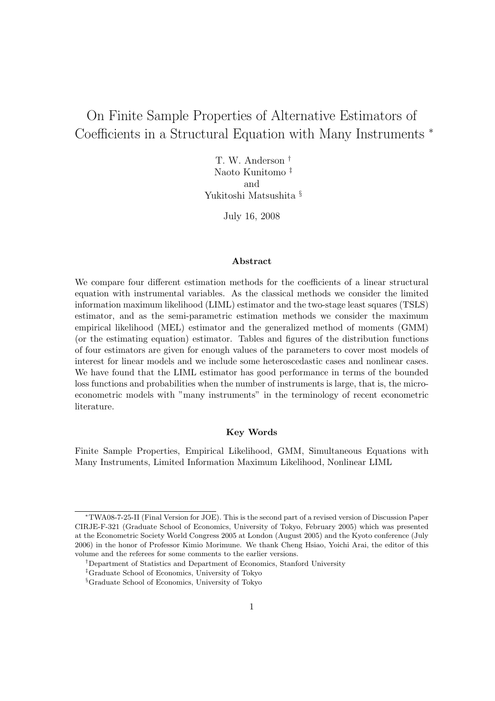# On Finite Sample Properties of Alternative Estimators of Coefficients in a Structural Equation with Many Instruments *<sup>∗</sup>*

T. W. Anderson *†* Naoto Kunitomo *‡* and Yukitoshi Matsushita *§*

July 16, 2008

#### **Abstract**

We compare four different estimation methods for the coefficients of a linear structural equation with instrumental variables. As the classical methods we consider the limited information maximum likelihood (LIML) estimator and the two-stage least squares (TSLS) estimator, and as the semi-parametric estimation methods we consider the maximum empirical likelihood (MEL) estimator and the generalized method of moments (GMM) (or the estimating equation) estimator. Tables and figures of the distribution functions of four estimators are given for enough values of the parameters to cover most models of interest for linear models and we include some heteroscedastic cases and nonlinear cases. We have found that the LIML estimator has good performance in terms of the bounded loss functions and probabilities when the number of instruments is large, that is, the microeconometric models with "many instruments" in the terminology of recent econometric literature.

## **Key Words**

Finite Sample Properties, Empirical Likelihood, GMM, Simultaneous Equations with Many Instruments, Limited Information Maximum Likelihood, Nonlinear LIML

*<sup>∗</sup>*TWA08-7-25-II (Final Version for JOE). This is the second part of a revised version of Discussion Paper CIRJE-F-321 (Graduate School of Economics, University of Tokyo, February 2005) which was presented at the Econometric Society World Congress 2005 at London (August 2005) and the Kyoto conference (July 2006) in the honor of Professor Kimio Morimune. We thank Cheng Hsiao, Yoichi Arai, the editor of this volume and the referees for some comments to the earlier versions.

*<sup>†</sup>*Department of Statistics and Department of Economics, Stanford University

*<sup>‡</sup>*Graduate School of Economics, University of Tokyo

*<sup>§</sup>*Graduate School of Economics, University of Tokyo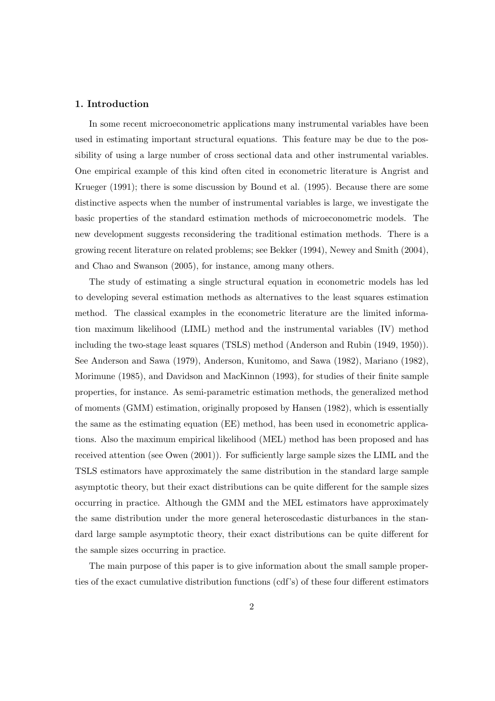## **1. Introduction**

In some recent microeconometric applications many instrumental variables have been used in estimating important structural equations. This feature may be due to the possibility of using a large number of cross sectional data and other instrumental variables. One empirical example of this kind often cited in econometric literature is Angrist and Krueger (1991); there is some discussion by Bound et al. (1995). Because there are some distinctive aspects when the number of instrumental variables is large, we investigate the basic properties of the standard estimation methods of microeconometric models. The new development suggests reconsidering the traditional estimation methods. There is a growing recent literature on related problems; see Bekker (1994), Newey and Smith (2004), and Chao and Swanson (2005), for instance, among many others.

The study of estimating a single structural equation in econometric models has led to developing several estimation methods as alternatives to the least squares estimation method. The classical examples in the econometric literature are the limited information maximum likelihood (LIML) method and the instrumental variables (IV) method including the two-stage least squares (TSLS) method (Anderson and Rubin (1949, 1950)). See Anderson and Sawa (1979), Anderson, Kunitomo, and Sawa (1982), Mariano (1982), Morimune (1985), and Davidson and MacKinnon (1993), for studies of their finite sample properties, for instance. As semi-parametric estimation methods, the generalized method of moments (GMM) estimation, originally proposed by Hansen (1982), which is essentially the same as the estimating equation (EE) method, has been used in econometric applications. Also the maximum empirical likelihood (MEL) method has been proposed and has received attention (see Owen (2001)). For sufficiently large sample sizes the LIML and the TSLS estimators have approximately the same distribution in the standard large sample asymptotic theory, but their exact distributions can be quite different for the sample sizes occurring in practice. Although the GMM and the MEL estimators have approximately the same distribution under the more general heteroscedastic disturbances in the standard large sample asymptotic theory, their exact distributions can be quite different for the sample sizes occurring in practice.

The main purpose of this paper is to give information about the small sample properties of the exact cumulative distribution functions (cdf's) of these four different estimators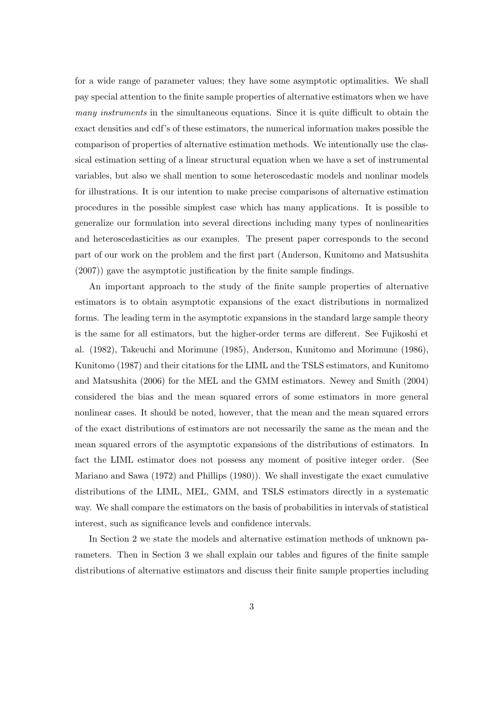for a wide range of parameter values; they have some asymptotic optimalities. We shall pay special attention to the finite sample properties of alternative estimators when we have *many instruments* in the simultaneous equations. Since it is quite difficult to obtain the exact densities and cdf's of these estimators, the numerical information makes possible the comparison of properties of alternative estimation methods. We intentionally use the classical estimation setting of a linear structural equation when we have a set of instrumental variables, but also we shall mention to some heteroscedastic models and nonlinar models for illustrations. It is our intention to make precise comparisons of alternative estimation procedures in the possible simplest case which has many applications. It is possible to generalize our formulation into several directions including many types of nonlinearities and heteroscedasticities as our examples. The present paper corresponds to the second part of our work on the problem and the first part (Anderson, Kunitomo and Matsushita (2007)) gave the asymptotic justification by the finite sample findings.

An important approach to the study of the finite sample properties of alternative estimators is to obtain asymptotic expansions of the exact distributions in normalized forms. The leading term in the asymptotic expansions in the standard large sample theory is the same for all estimators, but the higher-order terms are different. See Fujikoshi et al. (1982), Takeuchi and Morimune (1985), Anderson, Kunitomo and Morimune (1986), Kunitomo (1987) and their citations for the LIML and the TSLS estimators, and Kunitomo and Matsushita (2006) for the MEL and the GMM estimators. Newey and Smith (2004) considered the bias and the mean squared errors of some estimators in more general nonlinear cases. It should be noted, however, that the mean and the mean squared errors of the exact distributions of estimators are not necessarily the same as the mean and the mean squared errors of the asymptotic expansions of the distributions of estimators. In fact the LIML estimator does not possess any moment of positive integer order. (See Mariano and Sawa (1972) and Phillips (1980)). We shall investigate the exact cumulative distributions of the LIML, MEL, GMM, and TSLS estimators directly in a systematic way. We shall compare the estimators on the basis of probabilities in intervals of statistical interest, such as significance levels and confidence intervals.

In Section 2 we state the models and alternative estimation methods of unknown parameters. Then in Section 3 we shall explain our tables and figures of the finite sample distributions of alternative estimators and discuss their finite sample properties including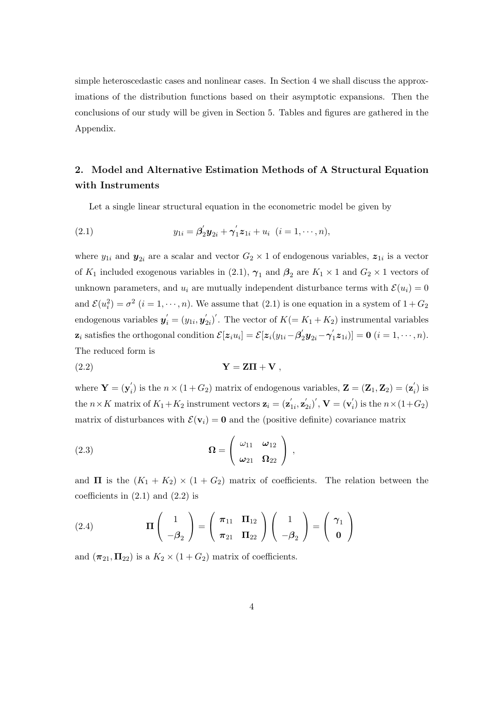simple heteroscedastic cases and nonlinear cases. In Section 4 we shall discuss the approximations of the distribution functions based on their asymptotic expansions. Then the conclusions of our study will be given in Section 5. Tables and figures are gathered in the Appendix.

## **2. Model and Alternative Estimation Methods of A Structural Equation with Instruments**

Let a single linear structural equation in the econometric model be given by

(2.1) 
$$
y_{1i} = \beta'_2 y_{2i} + \gamma'_1 z_{1i} + u_i \ \ (i = 1, \cdots, n),
$$

where  $y_{1i}$  and  $y_{2i}$  are a scalar and vector  $G_2 \times 1$  of endogenous variables,  $z_{1i}$  is a vector of  $K_1$  included exogenous variables in (2.1),  $\gamma_1$  and  $\beta_2$  are  $K_1 \times 1$  and  $G_2 \times 1$  vectors of unknown parameters, and  $u_i$  are mutually independent disturbance terms with  $\mathcal{E}(u_i) = 0$ and  $\mathcal{E}(u_i^2) = \sigma^2$   $(i = 1, \dots, n)$ . We assume that (2.1) is one equation in a system of  $1 + G_2$ endogenous variables  $y'_{i} = (y_{1i}, y'_{2i})'$ . The vector of  $K (= K_1 + K_2)$  instrumental variables  $\mathbf{z}_i$  satisfies the orthogonal condition  $\mathcal{E}[z_i u_i] = \mathcal{E}[z_i(y_{1i} - \beta'_2 y_{2i} - \gamma'_1 z_{1i})] = \mathbf{0}$   $(i = 1, \dots, n)$ . The reduced form is

$$
Y = Z\Pi + V,
$$

where  $\mathbf{Y} = (\mathbf{y}'_i)$  is the  $n \times (1 + G_2)$  matrix of endogenous variables,  $\mathbf{Z} = (\mathbf{Z}_1, \mathbf{Z}_2) = (\mathbf{z}'_i)$  is the  $n \times K$  matrix of  $K_1 + K_2$  instrument vectors  $\mathbf{z}_i = (\mathbf{z}_{1i}', \mathbf{z}_{2i}')', \mathbf{V} = (\mathbf{v}_i')$  is the  $n \times (1 + G_2)$ matrix of disturbances with  $\mathcal{E}(\mathbf{v}_i) = \mathbf{0}$  and the (positive definite) covariance matrix

(2.3) 
$$
\Omega = \begin{pmatrix} \omega_{11} & \omega_{12} \\ \omega_{21} & \Omega_{22} \end{pmatrix},
$$

and **Π** is the  $(K_1 + K_2) \times (1 + G_2)$  matrix of coefficients. The relation between the coefficients in  $(2.1)$  and  $(2.2)$  is

(2.4) 
$$
\mathbf{\Pi}\begin{pmatrix}1\\-\beta_2\end{pmatrix} = \begin{pmatrix}\pi_{11} & \mathbf{\Pi}_{12}\\ \pi_{21} & \mathbf{\Pi}_{22}\end{pmatrix} \begin{pmatrix}1\\-\beta_2\end{pmatrix} = \begin{pmatrix}\gamma_1\\0\end{pmatrix}
$$

and  $(\pi_{21}, \Pi_{22})$  is a  $K_2 \times (1 + G_2)$  matrix of coefficients.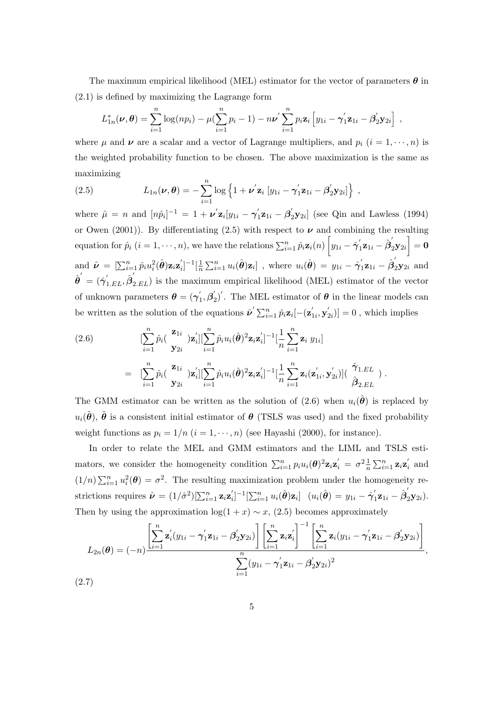The maximum empirical likelihood (MEL) estimator for the vector of parameters *θ* in (2.1) is defined by maximizing the Lagrange form

$$
L_{1n}^*(\nu, \theta) = \sum_{i=1}^n \log(np_i) - \mu(\sum_{i=1}^n p_i - 1) - n\nu' \sum_{i=1}^n p_i \mathbf{z}_i \left[ y_{1i} - \gamma'_1 \mathbf{z}_{1i} - \beta'_2 \mathbf{y}_{2i} \right],
$$

where  $\mu$  and  $\nu$  are a scalar and a vector of Lagrange multipliers, and  $p_i$  ( $i = 1, \dots, n$ ) is the weighted probability function to be chosen. The above maximization is the same as maximizing

(2.5) 
$$
L_{1n}(\boldsymbol{\nu}, \boldsymbol{\theta}) = -\sum_{i=1}^{n} \log \left\{ 1 + \boldsymbol{\nu}^{'} \mathbf{z}_{i} \left[ y_{1i} - \boldsymbol{\gamma}_{1}^{'} \mathbf{z}_{1i} - \boldsymbol{\beta}_{2}^{'} \mathbf{y}_{2i} \right] \right\},
$$

where  $\hat{\mu} = n$  and  $[n\hat{p}_i]^{-1} = 1 + \nu' \mathbf{z}_i[y_{1i} - \gamma'_1 \mathbf{z}_{1i} - \beta'_2 \mathbf{y}_{2i}]$  (see Qin and Lawless (1994) or Owen (2001)). By differentiating (2.5) with respect to  $\nu$  and combining the resulting  $\text{equation for } \hat{p}_i\;(i=1,\cdots,n), \text{ we have the relations } \sum_{i=1}^n \hat{p}_i \mathbf{z}_i(n) \left[ y_{1i} - \hat{\boldsymbol{\gamma}}_1' \mathbf{z}_{1i} - \hat{\boldsymbol{\beta}}_2' \mathbf{y}_{2i} \right] = \mathbf{0}$ and  $\hat{\nu} = [\sum_{i=1}^{n} \hat{p}_i u_i^2(\hat{\boldsymbol{\theta}}) \mathbf{z}_i \mathbf{z}_i']^{-1} [\frac{1}{n}]$  $\frac{1}{n}\sum_{i=1}^n u_i(\hat{\boldsymbol{\theta}})\mathbf{z}_i]$  , where  $u_i(\hat{\boldsymbol{\theta}}) = y_{1i} - \hat{\boldsymbol{\gamma}}_1'\mathbf{z}_{1i} - \hat{\boldsymbol{\beta}}_2'\mathbf{y}_{2i}$  and  $\hat{\theta}' = (\hat{\gamma}'_{1.EL}, \hat{\beta}'_{2.EL})$  is the maximum empirical likelihood (MEL) estimator of the vector of unknown parameters  $\boldsymbol{\theta} = (\gamma'_1, \beta'_2)'$ . The MEL estimator of  $\boldsymbol{\theta}$  in the linear models can be written as the solution of the equations  $\hat{\nu}' \sum_{i=1}^{n} \hat{p}_i \mathbf{z}_i [-(\mathbf{z}'_{1i}, \mathbf{y}'_{2i})] = 0$ , which implies

(2.6) 
$$
\left[\sum_{i=1}^{n} \hat{p}_i \left(\frac{\mathbf{z}_{1i}}{\mathbf{y}_{2i}}\right) \mathbf{z}_i'\right] \left[\sum_{i=1}^{n} \hat{p}_i u_i(\hat{\boldsymbol{\theta}})^2 \mathbf{z}_i \mathbf{z}_i'\right]^{-1} \left[\frac{1}{n} \sum_{i=1}^{n} \mathbf{z}_i y_{1i}\right]
$$

$$
= \left[\sum_{i=1}^{n} \hat{p}_i \left(\frac{\mathbf{z}_{1i}}{\mathbf{y}_{2i}}\right) \mathbf{z}_i'\right] \left[\sum_{i=1}^{n} \hat{p}_i u_i(\hat{\boldsymbol{\theta}})^2 \mathbf{z}_i \mathbf{z}_i'\right]^{-1} \left[\frac{1}{n} \sum_{i=1}^{n} \mathbf{z}_i (\mathbf{z}_{1i}', \mathbf{y}_{2i}')\right] \left(\frac{\hat{\gamma}_{1.EL}}{\hat{\beta}_{2.EL}}\right).
$$

The GMM estimator can be written as the solution of (2.6) when  $u_i(\hat{\theta})$  is replaced by  $u_i(\tilde{\theta})$ ,  $\tilde{\theta}$  is a consistent initial estimator of  $\theta$  (TSLS was used) and the fixed probability weight functions as  $p_i = 1/n$  ( $i = 1, \dots, n$ ) (see Hayashi (2000), for instance).

In order to relate the MEL and GMM estimators and the LIML and TSLS estimators, we consider the homogeneity condition  $\sum_{i=1}^n p_i u_i(\boldsymbol{\theta})^2 \mathbf{z}_i \mathbf{z}'_i = \sigma^2 \frac{1}{n} \sum_{i=1}^n \mathbf{z}_i \mathbf{z}'_i$  and  $(1/n)\sum_{i=1}^n u_i^2(\theta) = \sigma^2$ . The resulting maximization problem under the homogeneity restrictions requires  $\hat{\boldsymbol{\nu}} = (1/\hat{\sigma}^2)[\sum_{i=1}^n \mathbf{z}_i \mathbf{z}_i']^{-1}[\sum_{i=1}^n u_i(\hat{\boldsymbol{\theta}})\mathbf{z}_i]$   $(u_i(\hat{\boldsymbol{\theta}}) = y_{1i} - \hat{\boldsymbol{\gamma}}'_1 \mathbf{z}_{1i} - \hat{\boldsymbol{\beta}}'_2 \mathbf{y}_{2i}).$ Then by using the approximation  $log(1 + x) \sim x$ , (2.5) becomes approximately

$$
L_{2n}(\boldsymbol{\theta}) = (-n) \frac{\left[\sum_{i=1}^{n} \mathbf{z}'_i(y_{1i} - \boldsymbol{\gamma}'_1 \mathbf{z}_{1i} - \boldsymbol{\beta}'_2 \mathbf{y}_{2i})\right] \left[\sum_{i=1}^{n} \mathbf{z}_i \mathbf{z}'_i\right]^{-1} \left[\sum_{i=1}^{n} \mathbf{z}_i(y_{1i} - \boldsymbol{\gamma}'_1 \mathbf{z}_{1i} - \boldsymbol{\beta}'_2 \mathbf{y}_{2i})\right]}{\sum_{i=1}^{n} (y_{1i} - \boldsymbol{\gamma}'_1 \mathbf{z}_{1i} - \boldsymbol{\beta}'_2 \mathbf{y}_{2i})^2},
$$
7)

(2.7)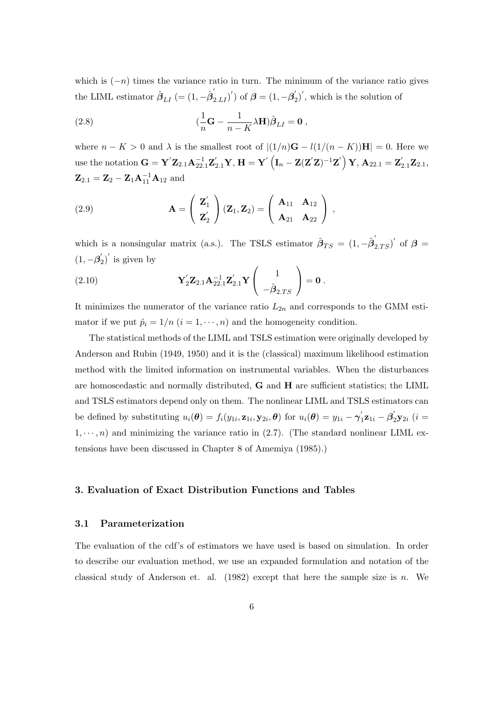which is (*−n*) times the variance ratio in turn. The minimum of the variance ratio gives the LIML estimator  $\hat{\boldsymbol{\beta}}_{LI}$  (=  $(1, -\hat{\boldsymbol{\beta}}_{2.LI}^{\prime})^{\prime}$ ) of  $\boldsymbol{\beta} = (1, -\boldsymbol{\beta}_2^{\prime})^{\prime}$ , which is the solution of

(2.8) 
$$
(\frac{1}{n}\mathbf{G} - \frac{1}{n-K}\lambda \mathbf{H})\hat{\boldsymbol{\beta}}_{LI} = \mathbf{0},
$$

where  $n - K > 0$  and  $\lambda$  is the smallest root of  $|(1/n)\mathbf{G} - l(1/(n - K))\mathbf{H}| = 0$ . Here we use the notation  $\mathbf{G} = \mathbf{Y}'\mathbf{Z}_{2.1}\mathbf{A}_{22.1}^{-1}\mathbf{Z}_{2.1}'\mathbf{Y}, \mathbf{H} = \mathbf{Y}'\left(\mathbf{I}_n - \mathbf{Z}(\mathbf{Z}'\mathbf{Z})^{-1}\mathbf{Z}'\right)\mathbf{Y}, \mathbf{A}_{22.1} = \mathbf{Z}_{2.1}'\mathbf{Z}_{2.1},$  $\mathbf{Z}_{2.1} = \mathbf{Z}_2 - \mathbf{Z}_1 \mathbf{A}_{11}^{-1} \mathbf{A}_{12}$  and

(2.9) 
$$
\mathbf{A} = \begin{pmatrix} \mathbf{Z}'_1 \\ \mathbf{Z}'_2 \end{pmatrix} (\mathbf{Z}_1, \mathbf{Z}_2) = \begin{pmatrix} \mathbf{A}_{11} & \mathbf{A}_{12} \\ \mathbf{A}_{21} & \mathbf{A}_{22} \end{pmatrix},
$$

which is a nonsingular matrix (a.s.). The TSLS estimator  $\hat{\beta}_{TS} = (1, -\hat{\beta}'_{2,TS})'$  of  $\beta =$  $(1, -\beta'_2)'$  is given by

(2.10) 
$$
\mathbf{Y}_2' \mathbf{Z}_{2.1} \mathbf{A}_{22.1}^{-1} \mathbf{Z}_{2.1}' \mathbf{Y} \begin{pmatrix} 1 \\ -\hat{\boldsymbol{\beta}}_{2.TS} \end{pmatrix} = \mathbf{0}.
$$

It minimizes the numerator of the variance ratio  $L_{2n}$  and corresponds to the GMM estimator if we put  $\hat{p}_i = 1/n$   $(i = 1, \dots, n)$  and the homogeneity condition.

The statistical methods of the LIML and TSLS estimation were originally developed by Anderson and Rubin (1949, 1950) and it is the (classical) maximum likelihood estimation method with the limited information on instrumental variables. When the disturbances are homoscedastic and normally distributed, **G** and **H** are sufficient statistics; the LIML and TSLS estimators depend only on them. The nonlinear LIML and TSLS estimators can be defined by substituting  $u_i(\boldsymbol{\theta}) = f_i(y_{1i}, \mathbf{z}_{1i}, \mathbf{y}_{2i}, \boldsymbol{\theta})$  for  $u_i(\boldsymbol{\theta}) = y_{1i} - \gamma'_1 \mathbf{z}_{1i} - \beta'_2 \mathbf{y}_{2i}$  (*i* =  $1, \dots, n$ ) and minimizing the variance ratio in  $(2.7)$ . (The standard nonlinear LIML extensions have been discussed in Chapter 8 of Amemiya (1985).)

## **3. Evaluation of Exact Distribution Functions and Tables**

## **3.1 Parameterization**

The evaluation of the cdf's of estimators we have used is based on simulation. In order to describe our evaluation method, we use an expanded formulation and notation of the classical study of Anderson et. al. (1982) except that here the sample size is *n*. We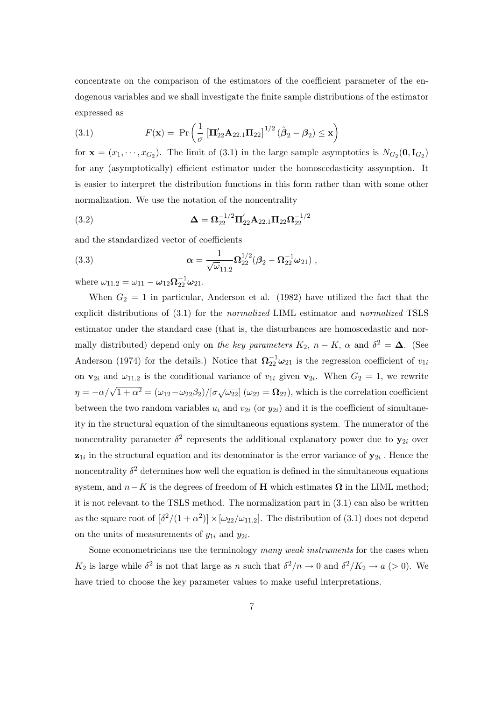concentrate on the comparison of the estimators of the coefficient parameter of the endogenous variables and we shall investigate the finite sample distributions of the estimator expressed as

(3.1) 
$$
F(\mathbf{x}) = \Pr \left( \frac{1}{\sigma} \left[ \mathbf{\Pi}_{22}' \mathbf{A}_{22.1} \mathbf{\Pi}_{22} \right]^{1/2} (\hat{\boldsymbol{\beta}}_2 - \boldsymbol{\beta}_2) \leq \mathbf{x} \right)
$$

for  $\mathbf{x} = (x_1, \dots, x_{G_2})$ . The limit of (3.1) in the large sample asymptotics is  $N_{G_2}(\mathbf{0}, \mathbf{I}_{G_2})$ for any (asymptotically) efficient estimator under the homoscedasticity assymption. It is easier to interpret the distribution functions in this form rather than with some other normalization. We use the notation of the noncentrality

(3.2) 
$$
\Delta = \Omega_{22}^{-1/2} \Pi'_{22} A_{22.1} \Pi_{22} \Omega_{22}^{-1/2}
$$

and the standardized vector of coefficients

(3.3) 
$$
\alpha = \frac{1}{\sqrt{\omega}_{11.2}} \Omega_{22}^{1/2} (\beta_2 - \Omega_{22}^{-1} \omega_{21}),
$$

where  $\omega_{11.2} = \omega_{11} - \omega_{12} \Omega_{22}^{-1} \omega_{21}$ .

When  $G_2 = 1$  in particular, Anderson et al. (1982) have utilized the fact that the explicit distributions of (3.1) for the *normalized* LIML estimator and *normalized* TSLS estimator under the standard case (that is, the disturbances are homoscedastic and normally distributed) depend only on *the key parameters*  $K_2$ ,  $n - K$ ,  $\alpha$  and  $\delta^2 = \Delta$ . (See Anderson (1974) for the details.) Notice that  $\Omega_{22}^{-1}\omega_{21}$  is the regression coefficient of  $v_{1i}$ on  $\mathbf{v}_{2i}$  and  $\omega_{11,2}$  is the conditional variance of  $v_{1i}$  given  $\mathbf{v}_{2i}$ . When  $G_2 = 1$ , we rewrite  $\eta = -\alpha/\sqrt{1 + \alpha^2} = (\omega_{12} - \omega_{22}\beta_2)/[\sigma\sqrt{\omega_{22}}]$  ( $\omega_{22} = \Omega_{22}$ ), which is the correlation coefficient between the two random variables  $u_i$  and  $v_{2i}$  (or  $y_{2i}$ ) and it is the coefficient of simultaneity in the structural equation of the simultaneous equations system. The numerator of the noncentrality parameter  $\delta^2$  represents the additional explanatory power due to  $y_{2i}$  over  $z_{1i}$  in the structural equation and its denominator is the error variance of  $y_{2i}$ . Hence the noncentrality  $\delta^2$  determines how well the equation is defined in the simultaneous equations system, and  $n - K$  is the degrees of freedom of **H** which estimates  $\Omega$  in the LIML method; it is not relevant to the TSLS method. The normalization part in (3.1) can also be written as the square root of  $\left[\delta^2/(1+\alpha^2)\right] \times [\omega_{22}/\omega_{11.2}]$ . The distribution of (3.1) does not depend on the units of measurements of  $y_{1i}$  and  $y_{2i}$ .

Some econometricians use the terminology *many weak instruments* for the cases when *K*<sub>2</sub> is large while  $\delta^2$  is not that large as *n* such that  $\delta^2/n \to 0$  and  $\delta^2/K_2 \to a$  (> 0). We have tried to choose the key parameter values to make useful interpretations.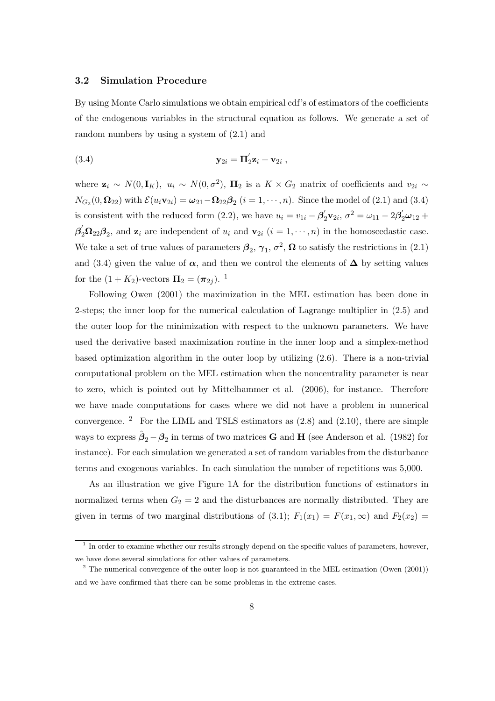#### **3.2 Simulation Procedure**

By using Monte Carlo simulations we obtain empirical cdf's of estimators of the coefficients of the endogenous variables in the structural equation as follows. We generate a set of random numbers by using a system of (2.1) and

$$
\mathbf{y}_{2i} = \mathbf{\Pi}'_2 \mathbf{z}_i + \mathbf{v}_{2i} ,
$$

where  $\mathbf{z}_i \sim N(0, \mathbf{I}_K)$ ,  $u_i \sim N(0, \sigma^2)$ ,  $\mathbf{\Pi}_2$  is a  $K \times G_2$  matrix of coefficients and  $v_{2i} \sim$  $N_{G_2}(0, \Omega_{22})$  with  $\mathcal{E}(u_i \mathbf{v}_{2i}) = \omega_{21} - \Omega_{22} \beta_2$   $(i = 1, \dots, n)$ . Since the model of (2.1) and (3.4) is consistent with the reduced form (2.2), we have  $u_i = v_{1i} - \beta'_2 \mathbf{v}_{2i}, \sigma^2 = \omega_{11} - 2\beta'_2 \mathbf{v}_{12} +$  $\beta'_2 \Omega_{22} \beta_2$ , and  $\mathbf{z}_i$  are independent of  $u_i$  and  $\mathbf{v}_{2i}$  ( $i = 1, \dots, n$ ) in the homoscedastic case. We take a set of true values of parameters  $\beta_2$ ,  $\gamma_1$ ,  $\sigma^2$ ,  $\Omega$  to satisfy the restrictions in (2.1) and (3.4) given the value of  $\alpha$ , and then we control the elements of  $\Delta$  by setting values for the  $(1 + K_2)$ -vectors  $\Pi_2 = (\pi_{2j})$ . <sup>1</sup>

Following Owen (2001) the maximization in the MEL estimation has been done in 2-steps; the inner loop for the numerical calculation of Lagrange multiplier in (2.5) and the outer loop for the minimization with respect to the unknown parameters. We have used the derivative based maximization routine in the inner loop and a simplex-method based optimization algorithm in the outer loop by utilizing (2.6). There is a non-trivial computational problem on the MEL estimation when the noncentrality parameter is near to zero, which is pointed out by Mittelhammer et al. (2006), for instance. Therefore we have made computations for cases where we did not have a problem in numerical convergence.  $2$  For the LIML and TSLS estimators as  $(2.8)$  and  $(2.10)$ , there are simple ways to express  $\hat{\boldsymbol{\beta}}_2 - \boldsymbol{\beta}_2$  in terms of two matrices **G** and **H** (see Anderson et al. (1982) for instance). For each simulation we generated a set of random variables from the disturbance terms and exogenous variables. In each simulation the number of repetitions was 5,000.

As an illustration we give Figure 1A for the distribution functions of estimators in normalized terms when  $G_2 = 2$  and the disturbances are normally distributed. They are given in terms of two marginal distributions of (3.1);  $F_1(x_1) = F(x_1, \infty)$  and  $F_2(x_2) =$ 

<sup>1</sup> In order to examine whether our results strongly depend on the specific values of parameters, however, we have done several simulations for other values of parameters.

<sup>&</sup>lt;sup>2</sup> The numerical convergence of the outer loop is not guaranteed in the MEL estimation (Owen (2001)) and we have confirmed that there can be some problems in the extreme cases.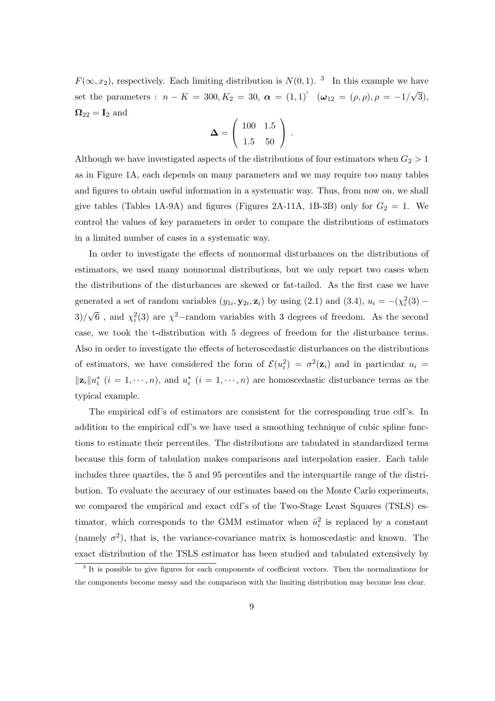$F(\infty, x_2)$ , respectively. Each limiting distribution is  $N(0, 1)$ . <sup>3</sup> In this example we have set the parameters :  $n - K = 300, K_2 = 30, \ \alpha = (1, 1)' \ \ (\omega_{12} = (\rho, \rho), \rho = -1/\sqrt{3}),$  $\Omega_{22} = I_2$  and

$$
\mathbf{\Delta} = \left( \begin{array}{cc} 100 & 1.5 \\ 1.5 & 50 \end{array} \right) .
$$

Although we have investigated aspects of the distributions of four estimators when  $G_2 > 1$ as in Figure 1A, each depends on many parameters and we may require too many tables and figures to obtain useful information in a systematic way. Thus, from now on, we shall give tables (Tables 1A-9A) and figures (Figures 2A-11A, 1B-3B) only for  $G_2 = 1$ . We control the values of key parameters in order to compare the distributions of estimators in a limited number of cases in a systematic way.

In order to investigate the effects of nonnormal disturbances on the distributions of estimators, we used many nonnormal distributions, but we only report two cases when the distributions of the disturbances are skewed or fat-tailed. As the first case we have generated a set of random variables  $(y_{1i}, \mathbf{y}_{2i}, \mathbf{z}_i)$  by using (2.1) and (3.4),  $u_i = -(\chi_i^2(3) - \chi_i^2(4))$  $3)/\sqrt{6}$ , and  $\chi_i^2(3)$  are  $\chi^2$ –random variables with 3 degrees of freedom. As the second case, we took the t-distribution with 5 degrees of freedom for the disturbance terms. Also in order to investigate the effects of heteroscedastic disturbances on the distributions of estimators, we have considered the form of  $\mathcal{E}(u_i^2) = \sigma^2(\mathbf{z}_i)$  and in particular  $u_i =$  $||\mathbf{z}_i||u_i^*$   $(i = 1, \dots, n)$ , and  $u_i^*$   $(i = 1, \dots, n)$  are homoscedastic disturbance terms as the typical example.

The empirical cdf's of estimators are consistent for the corresponding true cdf's. In addition to the empirical cdf's we have used a smoothing technique of cubic spline functions to estimate their percentiles. The distributions are tabulated in standardized terms because this form of tabulation makes comparisons and interpolation easier. Each table includes three quartiles, the 5 and 95 percentiles and the interquartile range of the distribution. To evaluate the accuracy of our estimates based on the Monte Carlo experiments, we compared the empirical and exact cdf's of the Two-Stage Least Squares (TSLS) estimator, which corresponds to the GMM estimator when  $\hat{u}_i^2$  is replaced by a constant (namely  $\sigma^2$ ), that is, the variance-covariance matrix is homoscedastic and known. The exact distribution of the TSLS estimator has been studied and tabulated extensively by

<sup>&</sup>lt;sup>3</sup> It is possible to give figures for each components of coefficient vectors. Then the normalizations for the components become messy and the comparison with the limiting distribution may become less clear.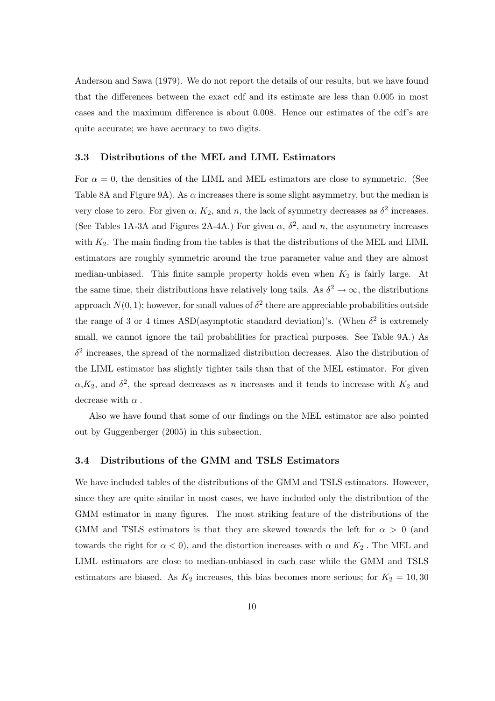Anderson and Sawa (1979). We do not report the details of our results, but we have found that the differences between the exact cdf and its estimate are less than 0.005 in most cases and the maximum difference is about 0.008. Hence our estimates of the cdf's are quite accurate; we have accuracy to two digits.

#### **3.3 Distributions of the MEL and LIML Estimators**

For  $\alpha = 0$ , the densities of the LIML and MEL estimators are close to symmetric. (See Table 8A and Figure 9A). As  $\alpha$  increases there is some slight asymmetry, but the median is very close to zero. For given  $\alpha$ ,  $K_2$ , and  $n$ , the lack of symmetry decreases as  $\delta^2$  increases. (See Tables 1A-3A and Figures 2A-4A.) For given  $\alpha$ ,  $\delta^2$ , and *n*, the asymmetry increases with  $K_2$ . The main finding from the tables is that the distributions of the MEL and LIML estimators are roughly symmetric around the true parameter value and they are almost median-unbiased. This finite sample property holds even when *K*<sup>2</sup> is fairly large. At the same time, their distributions have relatively long tails. As  $\delta^2 \to \infty$ , the distributions approach  $N(0, 1)$ ; however, for small values of  $\delta^2$  there are appreciable probabilities outside the range of 3 or 4 times ASD(asymptotic standard deviation)'s. (When  $\delta^2$  is extremely small, we cannot ignore the tail probabilities for practical purposes. See Table 9A.) As  $\delta^2$  increases, the spread of the normalized distribution decreases. Also the distribution of the LIML estimator has slightly tighter tails than that of the MEL estimator. For given  $\alpha$ , *K*<sub>2</sub>, and  $\delta$ <sup>2</sup>, the spread decreases as *n* increases and it tends to increase with *K*<sub>2</sub> and decrease with *α .*

Also we have found that some of our findings on the MEL estimator are also pointed out by Guggenberger (2005) in this subsection.

## **3.4 Distributions of the GMM and TSLS Estimators**

We have included tables of the distributions of the GMM and TSLS estimators. However, since they are quite similar in most cases, we have included only the distribution of the GMM estimator in many figures. The most striking feature of the distributions of the GMM and TSLS estimators is that they are skewed towards the left for *α >* 0 (and towards the right for  $\alpha < 0$ , and the distortion increases with  $\alpha$  and  $K_2$ . The MEL and LIML estimators are close to median-unbiased in each case while the GMM and TSLS estimators are biased. As  $K_2$  increases, this bias becomes more serious; for  $K_2 = 10,30$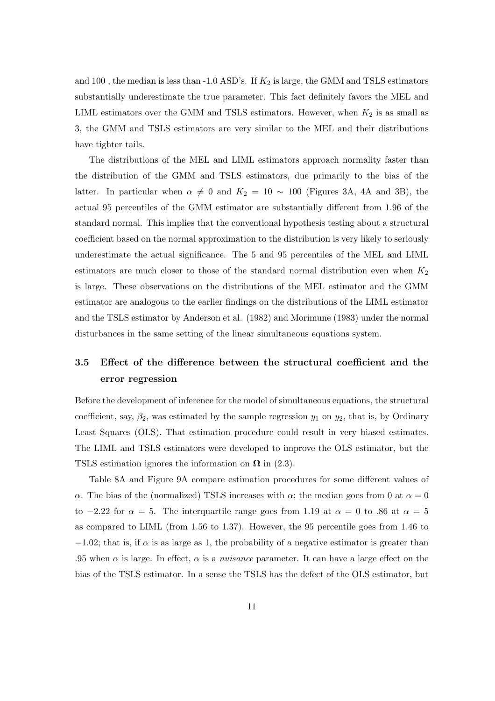and 100 *,* the median is less than -1.0 ASD's. If *K*<sup>2</sup> is large, the GMM and TSLS estimators substantially underestimate the true parameter. This fact definitely favors the MEL and LIML estimators over the GMM and TSLS estimators. However, when  $K_2$  is as small as 3, the GMM and TSLS estimators are very similar to the MEL and their distributions have tighter tails.

The distributions of the MEL and LIML estimators approach normality faster than the distribution of the GMM and TSLS estimators, due primarily to the bias of the latter. In particular when  $\alpha \neq 0$  and  $K_2 = 10 \sim 100$  (Figures 3A, 4A and 3B), the actual 95 percentiles of the GMM estimator are substantially different from 1.96 of the standard normal. This implies that the conventional hypothesis testing about a structural coefficient based on the normal approximation to the distribution is very likely to seriously underestimate the actual significance. The 5 and 95 percentiles of the MEL and LIML estimators are much closer to those of the standard normal distribution even when *K*<sup>2</sup> is large. These observations on the distributions of the MEL estimator and the GMM estimator are analogous to the earlier findings on the distributions of the LIML estimator and the TSLS estimator by Anderson et al. (1982) and Morimune (1983) under the normal disturbances in the same setting of the linear simultaneous equations system.

## **3.5 Effect of the difference between the structural coefficient and the error regression**

Before the development of inference for the model of simultaneous equations, the structural coefficient, say,  $\beta_2$ , was estimated by the sample regression  $y_1$  on  $y_2$ , that is, by Ordinary Least Squares (OLS). That estimation procedure could result in very biased estimates. The LIML and TSLS estimators were developed to improve the OLS estimator, but the TSLS estimation ignores the information on  $\Omega$  in (2.3).

Table 8A and Figure 9A compare estimation procedures for some different values of *α*. The bias of the (normalized) TSLS increases with *α*; the median goes from 0 at  $\alpha = 0$ to  $-2.22$  for  $\alpha = 5$ . The interquartile range goes from 1.19 at  $\alpha = 0$  to *86* at  $\alpha = 5$ as compared to LIML (from 1*.*56 to 1*.*37). However, the 95 percentile goes from 1*.*46 to  $-1.02$ ; that is, if  $\alpha$  is as large as 1, the probability of a negative estimator is greater than .95 when  $\alpha$  is large. In effect,  $\alpha$  is a *nuisance* parameter. It can have a large effect on the bias of the TSLS estimator. In a sense the TSLS has the defect of the OLS estimator, but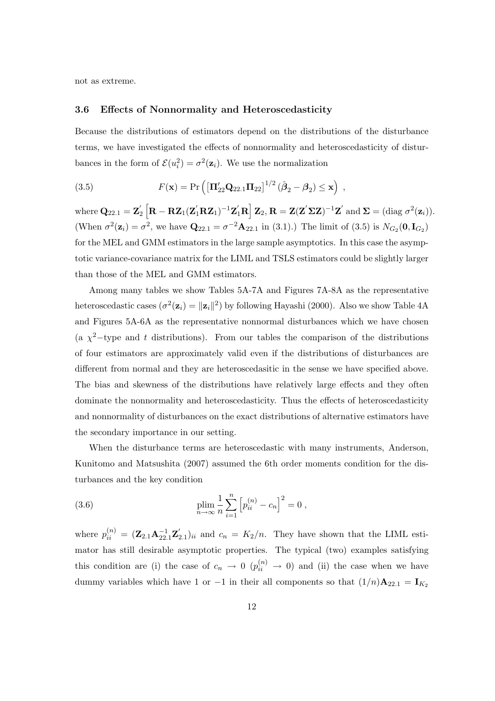not as extreme.

#### **3.6 Effects of Nonnormality and Heteroscedasticity**

Because the distributions of estimators depend on the distributions of the disturbance terms, we have investigated the effects of nonnormality and heteroscedasticity of disturbances in the form of  $\mathcal{E}(u_i^2) = \sigma^2(\mathbf{z}_i)$ . We use the normalization

(3.5) 
$$
F(\mathbf{x}) = Pr\left(\left[\mathbf{\Pi}'_{22}\mathbf{Q}_{22.1}\mathbf{\Pi}_{22}\right]^{1/2}(\hat{\boldsymbol{\beta}}_{2} - \boldsymbol{\beta}_{2}) \leq \mathbf{x}\right),
$$

 $\text{where } \mathbf{Q}_{22.1} = \mathbf{Z}_2^{'}\left[\mathbf{R} - \mathbf{R}\mathbf{Z}_1(\mathbf{Z}_1^{'}\mathbf{R}\mathbf{Z}_1)^{-1}\mathbf{Z}_1^{'}\mathbf{R}\right]\mathbf{Z}_2, \mathbf{R} = \mathbf{Z}(\mathbf{Z}^{'}\mathbf{\Sigma}\mathbf{Z})^{-1}\mathbf{Z}^{'}\text{ and }\mathbf{\Sigma} = (\text{diag }\sigma^2(\mathbf{z}_i)).$ (When  $\sigma^2(\mathbf{z}_i) = \sigma^2$ , we have  $\mathbf{Q}_{22.1} = \sigma^{-2} \mathbf{A}_{22.1}$  in (3.1).) The limit of (3.5) is  $N_{G_2}(\mathbf{0}, \mathbf{I}_{G_2})$ for the MEL and GMM estimators in the large sample asymptotics. In this case the asymptotic variance-covariance matrix for the LIML and TSLS estimators could be slightly larger than those of the MEL and GMM estimators.

Among many tables we show Tables 5A-7A and Figures 7A-8A as the representative heteroscedastic cases  $(\sigma^2(\mathbf{z}_i) = ||\mathbf{z}_i||^2)$  by following Hayashi (2000). Also we show Table 4A and Figures 5A-6A as the representative nonnormal disturbances which we have chosen (a  $\chi^2$ -type and *t* distributions). From our tables the comparison of the distributions of four estimators are approximately valid even if the distributions of disturbances are different from normal and they are heteroscedasitic in the sense we have specified above. The bias and skewness of the distributions have relatively large effects and they often dominate the nonnormality and heteroscedasticity. Thus the effects of heteroscedasticity and nonnormality of disturbances on the exact distributions of alternative estimators have the secondary importance in our setting.

When the disturbance terms are heteroscedastic with many instruments, Anderson, Kunitomo and Matsushita (2007) assumed the 6th order moments condition for the disturbances and the key condition

(3.6) 
$$
\lim_{n \to \infty} \frac{1}{n} \sum_{i=1}^{n} \left[ p_{ii}^{(n)} - c_n \right]^2 = 0,
$$

where  $p_{ii}^{(n)} = (\mathbf{Z}_{2,1}\mathbf{A}_{22,1}^{-1}\mathbf{Z}_{2,1}')_{ii}$  and  $c_n = K_2/n$ . They have shown that the LIML estimator has still desirable asymptotic properties. The typical (two) examples satisfying this condition are (i) the case of  $c_n \to 0$  ( $p_{ii}^{(n)} \to 0$ ) and (ii) the case when we have dummy variables which have 1 or *−*1 in their all components so that  $(1/n)$ **A**<sub>22.1</sub> = **I**<sub>K<sub>2</sub></sub>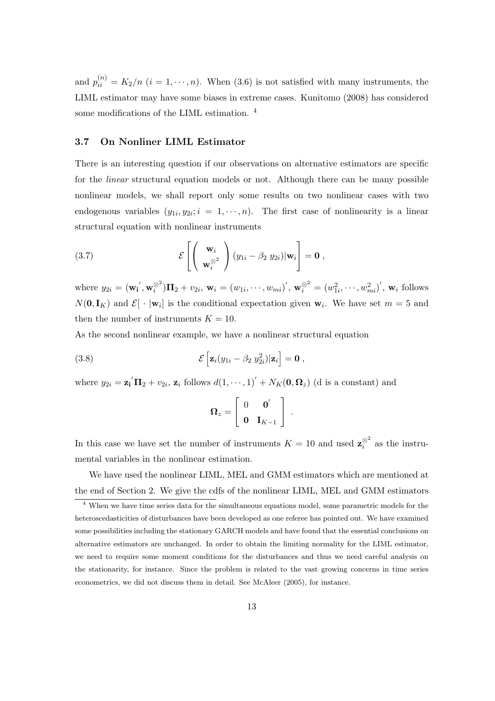and  $p_{ii}^{(n)} = K_2/n$  ( $i = 1, \dots, n$ ). When (3.6) is not satisfied with many instruments, the LIML estimator may have some biases in extreme cases. Kunitomo (2008) has considered some modifications of the LIML estimation. <sup>4</sup>

## **3.7 On Nonliner LIML Estimator**

There is an interesting question if our observations on alternative estimators are specific for the *linear* structural equation models or not. Although there can be many possible nonlinear models, we shall report only some results on two nonlinear cases with two endogenous variables  $(y_{1i}, y_{2i}; i = 1, \dots, n)$ . The first case of nonlinearity is a linear structural equation with nonlinear instruments

(3.7) 
$$
\mathcal{E}\left[\left(\begin{array}{c}\mathbf{w}_{i}\\ \mathbf{w}_{i}^{\otimes^{2}}\end{array}\right)(y_{1i}-\beta_{2} y_{2i})|\mathbf{w}_{i}\right]=\mathbf{0},
$$

where  $y_{2i} = (\mathbf{w_i}', \mathbf{w}_i^{\otimes 2})\mathbf{\Pi}_2 + v_{2i}, \mathbf{w}_i = (w_{1i}, \dots, w_{mi})', \mathbf{w}_i^{\otimes 2} = (w_{1i}^2, \dots, w_{mi}^2)', \mathbf{w}_i$  follows  $N(\mathbf{0}, \mathbf{I}_K)$  and  $\mathcal{E}[\cdot | \mathbf{w}_i]$  is the conditional expectation given  $\mathbf{w}_i$ . We have set  $m = 5$  and then the number of instruments  $K = 10$ .

As the second nonlinear example, we have a nonlinear structural equation

(3.8) 
$$
\mathcal{E}\left[\mathbf{z}_i(y_{1i}-\beta_2 y_{2i}^2)|\mathbf{z}_i\right]=\mathbf{0},
$$

where  $y_{2i} = \mathbf{z_i}^{\prime} \mathbf{\Pi}_2 + v_{2i}$ ,  $\mathbf{z_i}$  follows  $d(1, \dots, 1)^{\prime} + N_K(\mathbf{0}, \mathbf{\Omega}_z)$  (d is a constant) and

$$
\boldsymbol{\Omega}_z = \left[ \begin{array}{cc} 0 & \mathbf{0}' \\ \mathbf{0} & \mathbf{I}_{K-1} \end{array} \right] \ .
$$

In this case we have set the number of instruments  $K = 10$  and used  $\mathbf{z}_i^{\otimes^2}$  as the instrumental variables in the nonlinear estimation.

We have used the nonlinear LIML, MEL and GMM estimators which are mentioned at the end of Section 2. We give the cdfs of the nonlinear LIML, MEL and GMM estimators

 $4$  When we have time series data for the simultaneous equations model, some parametric models for the heteroscedasticities of disturbances have been developed as one referee has pointed out. We have examined some possibilities including the stationary GARCH models and have found that the essential conclusions on alternative estimators are unchanged. In order to obtain the limiting normality for the LIML estimator, we need to require some moment conditions for the disturbances and thus we need careful analysis on the stationarity, for instance. Since the problem is related to the vast growing concerns in time series econometrics, we did not discuss them in detail. See McAleer (2005), for instance.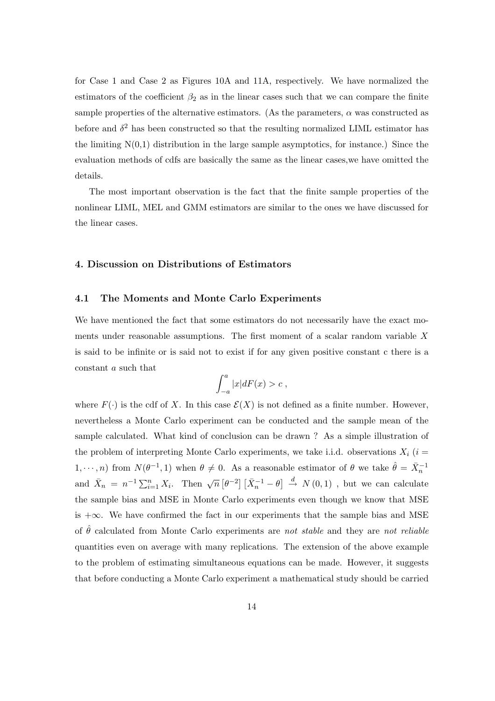for Case 1 and Case 2 as Figures 10A and 11A, respectively. We have normalized the estimators of the coefficient  $\beta_2$  as in the linear cases such that we can compare the finite sample properties of the alternative estimators. (As the parameters,  $\alpha$  was constructed as before and  $\delta^2$  has been constructed so that the resulting normalized LIML estimator has the limiting  $N(0,1)$  distribution in the large sample asymptotics, for instance.) Since the evaluation methods of cdfs are basically the same as the linear cases,we have omitted the details.

The most important observation is the fact that the finite sample properties of the nonlinear LIML, MEL and GMM estimators are similar to the ones we have discussed for the linear cases.

## **4. Discussion on Distributions of Estimators**

#### **4.1 The Moments and Monte Carlo Experiments**

We have mentioned the fact that some estimators do not necessarily have the exact moments under reasonable assumptions. The first moment of a scalar random variable *X* is said to be infinite or is said not to exist if for any given positive constant c there is a constant *a* such that

$$
\int_{-a}^{a} |x| dF(x) > c ,
$$

where  $F(\cdot)$  is the cdf of *X*. In this case  $\mathcal{E}(X)$  is not defined as a finite number. However, nevertheless a Monte Carlo experiment can be conducted and the sample mean of the sample calculated. What kind of conclusion can be drawn ? As a simple illustration of the problem of interpreting Monte Carlo experiments, we take i.i.d. observations  $X_i$  ( $i =$ 1,  $\cdots$ , *n*) from  $N(\theta^{-1}, 1)$  when  $\theta \neq 0$ . As a reasonable estimator of  $\theta$  we take  $\hat{\theta} = \bar{X}_n^{-1}$ and  $\bar{X}_n = n^{-1} \sum_{i=1}^n X_i$ . Then  $\sqrt{n} \left[\theta^{-2}\right] \left[\bar{X}_n^{-1} - \theta\right] \stackrel{d}{\to} N(0,1)$ , but we can calculate the sample bias and MSE in Monte Carlo experiments even though we know that MSE is +*∞*. We have confirmed the fact in our experiments that the sample bias and MSE of  $\hat{\theta}$  calculated from Monte Carlo experiments are *not stable* and they are *not reliable* quantities even on average with many replications. The extension of the above example to the problem of estimating simultaneous equations can be made. However, it suggests that before conducting a Monte Carlo experiment a mathematical study should be carried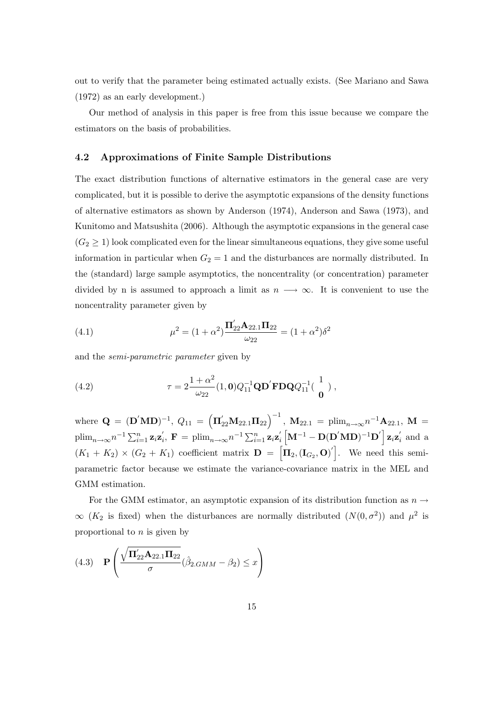out to verify that the parameter being estimated actually exists. (See Mariano and Sawa (1972) as an early development.)

Our method of analysis in this paper is free from this issue because we compare the estimators on the basis of probabilities.

## **4.2 Approximations of Finite Sample Distributions**

The exact distribution functions of alternative estimators in the general case are very complicated, but it is possible to derive the asymptotic expansions of the density functions of alternative estimators as shown by Anderson (1974), Anderson and Sawa (1973), and Kunitomo and Matsushita (2006). Although the asymptotic expansions in the general case  $(G_2 \geq 1)$  look complicated even for the linear simultaneous equations, they give some useful information in particular when  $G_2 = 1$  and the disturbances are normally distributed. In the (standard) large sample asymptotics, the noncentrality (or concentration) parameter divided by n is assumed to approach a limit as  $n \rightarrow \infty$ . It is convenient to use the noncentrality parameter given by

(4.1) 
$$
\mu^2 = (1 + \alpha^2) \frac{\Pi'_{22} \mathbf{A}_{22.1} \Pi_{22}}{\omega_{22}} = (1 + \alpha^2) \delta^2
$$

and the *semi-parametric parameter* given by

(4.2) 
$$
\tau = 2 \frac{1 + \alpha^2}{\omega_{22}} (1, \mathbf{0}) Q_{11}^{-1} \mathbf{Q} \mathbf{D}' \mathbf{F} \mathbf{D} \mathbf{Q} Q_{11}^{-1} (\begin{array}{c} 1 \\ \mathbf{0} \end{array}),
$$

where  $\mathbf{Q} = (\mathbf{D}^{'}\mathbf{M}\mathbf{D})^{-1}$ ,  $Q_{11} = (\mathbf{\Pi}_{22}^{'}\mathbf{M}_{22.1}\mathbf{\Pi}_{22})^{-1}$ ,  $\mathbf{M}_{22.1} = \text{plim}_{n\rightarrow\infty}n^{-1}\mathbf{A}_{22.1}$ ,  $\mathbf{M} =$  $\text{plim}_{n\to\infty}n^{-1}\sum_{i=1}^n\mathbf{z}_i\mathbf{z}_i',\ \mathbf{F}=\text{plim}_{n\to\infty}n^{-1}\sum_{i=1}^n\mathbf{z}_i\mathbf{z}_i'\left[\mathbf{M}^{-1}-\mathbf{D}(\mathbf{D}'\mathbf{M}\mathbf{D})^{-1}\mathbf{D}'\right]\mathbf{z}_i\mathbf{z}_i'$  and a  $(K_1 + K_2) \times (G_2 + K_1)$  coefficient matrix  $\mathbf{D} = [\mathbf{\Pi}_2, (\mathbf{I}_{G_2}, \mathbf{O})]$ . We need this semiparametric factor because we estimate the variance-covariance matrix in the MEL and GMM estimation.

For the GMM estimator, an asymptotic expansion of its distribution function as  $n \rightarrow$  $\infty$  (*K*<sub>2</sub> is fixed) when the disturbances are normally distributed (*N*(0*,*  $\sigma$ <sup>2</sup>)) and  $\mu$ <sup>2</sup> is proportional to *n* is given by

$$
(4.3) \quad \mathbf{P}\left(\frac{\sqrt{\mathbf{\Pi}_{22}'\mathbf{A}_{22.1}\mathbf{\Pi}_{22}}}{\sigma}(\hat{\beta}_{2.GMM}-\beta_2) \leq x\right)
$$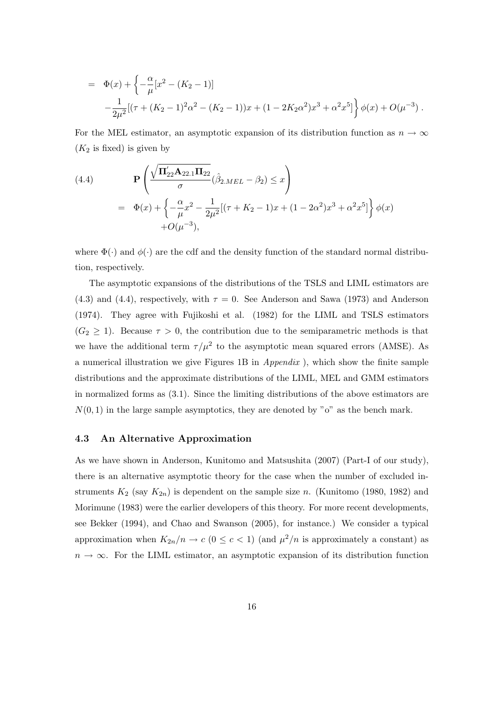$$
= \Phi(x) + \left\{ -\frac{\alpha}{\mu} [x^2 - (K_2 - 1)] -\frac{1}{2\mu^2} [(\tau + (K_2 - 1)^2 \alpha^2 - (K_2 - 1))x + (1 - 2K_2 \alpha^2) x^3 + \alpha^2 x^5] \right\} \phi(x) + O(\mu^{-3}).
$$

For the MEL estimator, an asymptotic expansion of its distribution function as  $n \to \infty$  $(K_2$  is fixed) is given by

(4.4)  
\n
$$
\mathbf{P}\left(\frac{\sqrt{\mathbf{\Pi}_{22}'\mathbf{A}_{22.1}\mathbf{\Pi}_{22}}}{\sigma}(\hat{\beta}_{2.MEL} - \beta_2) \leq x\right)
$$
\n
$$
= \Phi(x) + \left\{-\frac{\alpha}{\mu}x^2 - \frac{1}{2\mu^2}[(\tau + K_2 - 1)x + (1 - 2\alpha^2)x^3 + \alpha^2x^5]\right\}\phi(x)
$$
\n
$$
+ O(\mu^{-3}),
$$

where  $\Phi(\cdot)$  and  $\phi(\cdot)$  are the cdf and the density function of the standard normal distribution, respectively.

The asymptotic expansions of the distributions of the TSLS and LIML estimators are (4.3) and (4.4), respectively, with  $\tau = 0$ . See Anderson and Sawa (1973) and Anderson (1974). They agree with Fujikoshi et al. (1982) for the LIML and TSLS estimators  $(G_2 \geq 1)$ . Because  $\tau > 0$ , the contribution due to the semiparametric methods is that we have the additional term  $\tau/\mu^2$  to the asymptotic mean squared errors (AMSE). As a numerical illustration we give Figures 1B in *Appendix* ), which show the finite sample distributions and the approximate distributions of the LIML, MEL and GMM estimators in normalized forms as (3.1). Since the limiting distributions of the above estimators are  $N(0,1)$  in the large sample asymptotics, they are denoted by " $o$ " as the bench mark.

### **4.3 An Alternative Approximation**

As we have shown in Anderson, Kunitomo and Matsushita (2007) (Part-I of our study), there is an alternative asymptotic theory for the case when the number of excluded instruments  $K_2$  (say  $K_{2n}$ ) is dependent on the sample size *n*. (Kunitomo (1980, 1982) and Morimune (1983) were the earlier developers of this theory. For more recent developments, see Bekker (1994), and Chao and Swanson (2005), for instance.) We consider a typical approximation when  $K_{2n}/n \to c$  ( $0 \leq c < 1$ ) (and  $\mu^2/n$  is approximately a constant) as  $n \to \infty$ . For the LIML estimator, an asymptotic expansion of its distribution function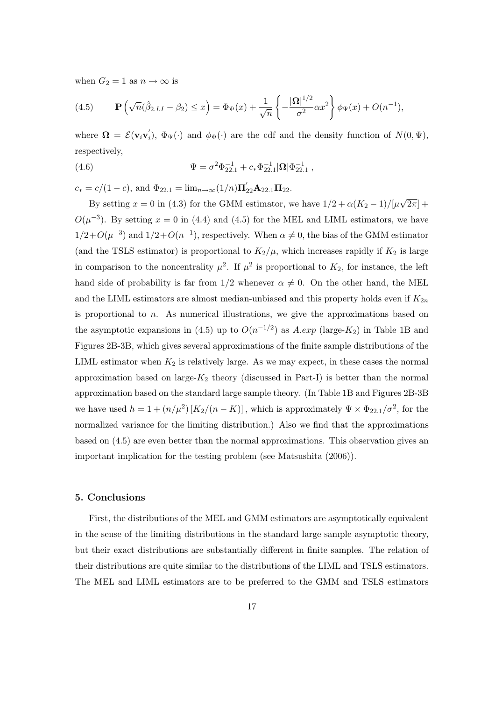when  $G_2 = 1$  as  $n \to \infty$  is

(4.5) 
$$
\mathbf{P}\left(\sqrt{n}(\hat{\beta}_{2.LI} - \beta_2) \le x\right) = \Phi_{\Psi}(x) + \frac{1}{\sqrt{n}}\left\{-\frac{|\mathbf{\Omega}|^{1/2}}{\sigma^2}\alpha x^2\right\}\phi_{\Psi}(x) + O(n^{-1}),
$$

where  $\mathbf{\Omega} = \mathcal{E}(\mathbf{v}_i \mathbf{v}'_i)$ ,  $\Phi_{\Psi}(\cdot)$  and  $\phi_{\Psi}(\cdot)$  are the cdf and the density function of  $N(0, \Psi)$ , respectively,

(4.6) 
$$
\Psi = \sigma^2 \Phi_{22.1}^{-1} + c_* \Phi_{22.1}^{-1} |\mathbf{\Omega}| \Phi_{22.1}^{-1},
$$

 $c_* = c/(1-c)$ , and  $\Phi_{22.1} = \lim_{n \to \infty} (1/n) \mathbf{\Pi}_{22}^{\prime} \mathbf{A}_{22.1} \mathbf{\Pi}_{22}$ .

By setting  $x = 0$  in (4.3) for the GMM estimator, we have  $1/2 + \alpha (K_2 - 1)/[\mu \sqrt{2\pi}] +$  $O(\mu^{-3})$ . By setting  $x = 0$  in (4.4) and (4.5) for the MEL and LIML estimators, we have  $1/2 + O(\mu^{-3})$  and  $1/2 + O(n^{-1})$ , respectively. When  $\alpha \neq 0$ , the bias of the GMM estimator (and the TSLS estimator) is proportional to  $K_2/\mu$ , which increases rapidly if  $K_2$  is large in comparison to the noncentrality  $\mu^2$ . If  $\mu^2$  is proportional to  $K_2$ , for instance, the left hand side of probability is far from  $1/2$  whenever  $\alpha \neq 0$ . On the other hand, the MEL and the LIML estimators are almost median-unbiased and this property holds even if  $K_{2n}$ is proportional to *n*. As numerical illustrations, we give the approximations based on the asymptotic expansions in (4.5) up to  $O(n^{-1/2})$  as  $A.\exp$  (large- $K_2$ ) in Table 1B and Figures 2B-3B, which gives several approximations of the finite sample distributions of the LIML estimator when  $K_2$  is relatively large. As we may expect, in these cases the normal approximation based on large- $K_2$  theory (discussed in Part-I) is better than the normal approximation based on the standard large sample theory. (In Table 1B and Figures 2B-3B we have used  $h = 1 + (n/\mu^2) [K_2/(n - K)]$ , which is approximately  $\Psi \times \Phi_{22.1}/\sigma^2$ , for the normalized variance for the limiting distribution.) Also we find that the approximations based on (4.5) are even better than the normal approximations. This observation gives an important implication for the testing problem (see Matsushita (2006)).

## **5. Conclusions**

First, the distributions of the MEL and GMM estimators are asymptotically equivalent in the sense of the limiting distributions in the standard large sample asymptotic theory, but their exact distributions are substantially different in finite samples. The relation of their distributions are quite similar to the distributions of the LIML and TSLS estimators. The MEL and LIML estimators are to be preferred to the GMM and TSLS estimators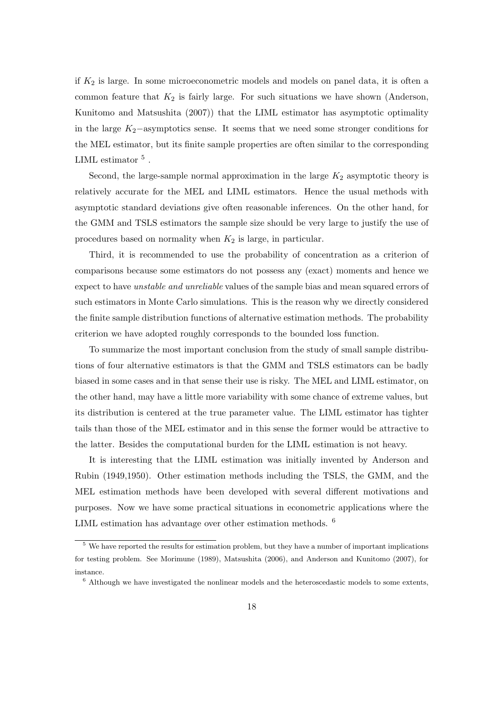if *K*<sup>2</sup> is large. In some microeconometric models and models on panel data, it is often a common feature that  $K_2$  is fairly large. For such situations we have shown (Anderson, Kunitomo and Matsushita (2007)) that the LIML estimator has asymptotic optimality in the large *K*2*−*asymptotics sense. It seems that we need some stronger conditions for the MEL estimator, but its finite sample properties are often similar to the corresponding LIML estimator  $^5$  .

Second, the large-sample normal approximation in the large  $K_2$  asymptotic theory is relatively accurate for the MEL and LIML estimators. Hence the usual methods with asymptotic standard deviations give often reasonable inferences. On the other hand, for the GMM and TSLS estimators the sample size should be very large to justify the use of procedures based on normality when *K*<sup>2</sup> is large, in particular.

Third, it is recommended to use the probability of concentration as a criterion of comparisons because some estimators do not possess any (exact) moments and hence we expect to have *unstable and unreliable* values of the sample bias and mean squared errors of such estimators in Monte Carlo simulations. This is the reason why we directly considered the finite sample distribution functions of alternative estimation methods. The probability criterion we have adopted roughly corresponds to the bounded loss function.

To summarize the most important conclusion from the study of small sample distributions of four alternative estimators is that the GMM and TSLS estimators can be badly biased in some cases and in that sense their use is risky. The MEL and LIML estimator, on the other hand, may have a little more variability with some chance of extreme values, but its distribution is centered at the true parameter value. The LIML estimator has tighter tails than those of the MEL estimator and in this sense the former would be attractive to the latter. Besides the computational burden for the LIML estimation is not heavy.

It is interesting that the LIML estimation was initially invented by Anderson and Rubin (1949,1950). Other estimation methods including the TSLS, the GMM, and the MEL estimation methods have been developed with several different motivations and purposes. Now we have some practical situations in econometric applications where the LIML estimation has advantage over other estimation methods. <sup>6</sup>

 $\frac{5}{3}$  We have reported the results for estimation problem, but they have a number of important implications for testing problem. See Morimune (1989), Matsushita (2006), and Anderson and Kunitomo (2007), for instance.

 $6$  Although we have investigated the nonlinear models and the heteroscedastic models to some extents,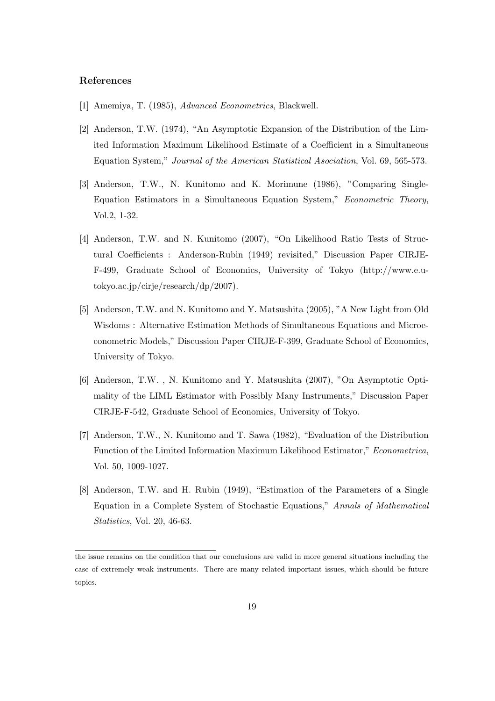## **References**

- [1] Amemiya, T. (1985), *Advanced Econometrics*, Blackwell.
- [2] Anderson, T.W. (1974), "An Asymptotic Expansion of the Distribution of the Limited Information Maximum Likelihood Estimate of a Coefficient in a Simultaneous Equation System," *Journal of the American Statistical Asociation*, Vol. 69, 565-573.
- [3] Anderson, T.W., N. Kunitomo and K. Morimune (1986), "Comparing Single-Equation Estimators in a Simultaneous Equation System," *Econometric Theory*, Vol.2, 1-32.
- [4] Anderson, T.W. and N. Kunitomo (2007), "On Likelihood Ratio Tests of Structural Coefficients : Anderson-Rubin (1949) revisited," Discussion Paper CIRJE-F-499, Graduate School of Economics, University of Tokyo (http://www.e.utokyo.ac.jp/cirje/research/dp/2007).
- [5] Anderson, T.W. and N. Kunitomo and Y. Matsushita (2005), "A New Light from Old Wisdoms : Alternative Estimation Methods of Simultaneous Equations and Microeconometric Models," Discussion Paper CIRJE-F-399, Graduate School of Economics, University of Tokyo.
- [6] Anderson, T.W. , N. Kunitomo and Y. Matsushita (2007), "On Asymptotic Optimality of the LIML Estimator with Possibly Many Instruments," Discussion Paper CIRJE-F-542, Graduate School of Economics, University of Tokyo.
- [7] Anderson, T.W., N. Kunitomo and T. Sawa (1982), "Evaluation of the Distribution Function of the Limited Information Maximum Likelihood Estimator," *Econometrica*, Vol. 50, 1009-1027.
- [8] Anderson, T.W. and H. Rubin (1949), "Estimation of the Parameters of a Single Equation in a Complete System of Stochastic Equations," *Annals of Mathematical Statistics*, Vol. 20, 46-63.

the issue remains on the condition that our conclusions are valid in more general situations including the case of extremely weak instruments. There are many related important issues, which should be future topics.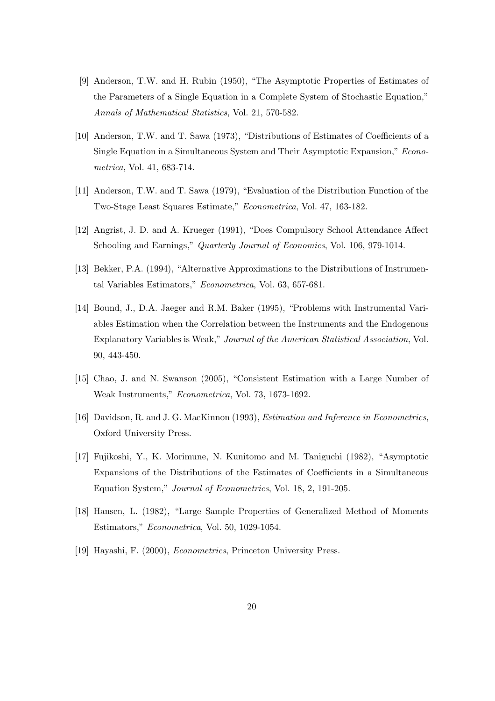- [9] Anderson, T.W. and H. Rubin (1950), "The Asymptotic Properties of Estimates of the Parameters of a Single Equation in a Complete System of Stochastic Equation," *Annals of Mathematical Statistics*, Vol. 21, 570-582.
- [10] Anderson, T.W. and T. Sawa (1973), "Distributions of Estimates of Coefficients of a Single Equation in a Simultaneous System and Their Asymptotic Expansion," *Econometrica*, Vol. 41, 683-714.
- [11] Anderson, T.W. and T. Sawa (1979), "Evaluation of the Distribution Function of the Two-Stage Least Squares Estimate," *Econometrica*, Vol. 47, 163-182.
- [12] Angrist, J. D. and A. Krueger (1991), "Does Compulsory School Attendance Affect Schooling and Earnings," *Quarterly Journal of Economics*, Vol. 106, 979-1014.
- [13] Bekker, P.A. (1994), "Alternative Approximations to the Distributions of Instrumental Variables Estimators," *Econometrica*, Vol. 63, 657-681.
- [14] Bound, J., D.A. Jaeger and R.M. Baker (1995), "Problems with Instrumental Variables Estimation when the Correlation between the Instruments and the Endogenous Explanatory Variables is Weak," *Journal of the American Statistical Association*, Vol. 90, 443-450.
- [15] Chao, J. and N. Swanson (2005), "Consistent Estimation with a Large Number of Weak Instruments," *Econometrica*, Vol. 73, 1673-1692.
- [16] Davidson, R. and J. G. MacKinnon (1993), *Estimation and Inference in Econometrics*, Oxford University Press.
- [17] Fujikoshi, Y., K. Morimune, N. Kunitomo and M. Taniguchi (1982), "Asymptotic Expansions of the Distributions of the Estimates of Coefficients in a Simultaneous Equation System," *Journal of Econometrics*, Vol. 18, 2, 191-205.
- [18] Hansen, L. (1982), "Large Sample Properties of Generalized Method of Moments Estimators," *Econometrica*, Vol. 50, 1029-1054.
- [19] Hayashi, F. (2000), *Econometrics*, Princeton University Press.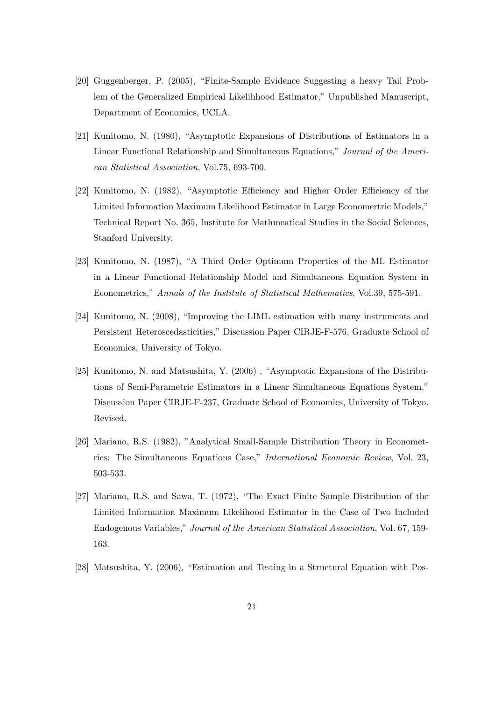- [20] Guggenberger, P. (2005), "Finite-Sample Evidence Suggesting a heavy Tail Problem of the Generalized Empirical Likelihhood Estimator," Unpublished Manuscript, Department of Economics, UCLA.
- [21] Kunitomo, N. (1980), "Asymptotic Expansions of Distributions of Estimators in a Linear Functional Relationship and Simultaneous Equations," *Journal of the American Statistical Association*, Vol.75, 693-700.
- [22] Kunitomo, N. (1982), "Asymptotic Efficiency and Higher Order Efficiency of the Limited Information Maximum Likelihood Estimator in Large Economertric Models," Technical Report No. 365, Institute for Mathmeatical Studies in the Social Sciences, Stanford University.
- [23] Kunitomo, N. (1987), "A Third Order Optimum Properties of the ML Estimator in a Linear Functional Relationship Model and Simultaneous Equation System in Econometrics," *Annals of the Institute of Statistical Mathematics*, Vol.39, 575-591.
- [24] Kunitomo, N. (2008), "Improving the LIML estimation with many instruments and Persistent Heteroscedasticities," Discussion Paper CIRJE-F-576, Graduate School of Economics, University of Tokyo.
- [25] Kunitomo, N. and Matsushita, Y. (2006) , "Asymptotic Expansions of the Distributions of Semi-Parametric Estimators in a Linear Simultaneous Equations System," Discussion Paper CIRJE-F-237, Graduate School of Economics, University of Tokyo. Revised.
- [26] Mariano, R.S. (1982), "Analytical Small-Sample Distribution Theory in Econometrics: The Simultaneous Equations Case," *International Economic Review*, Vol. 23, 503-533.
- [27] Mariano, R.S. and Sawa, T. (1972), "The Exact Finite Sample Distribution of the Limited Information Maximum Likelihood Estimator in the Case of Two Included Endogenous Variables," *Journal of the American Statistical Association*, Vol. 67, 159- 163.
- [28] Matsushita, Y. (2006), "Estimation and Testing in a Structural Equation with Pos-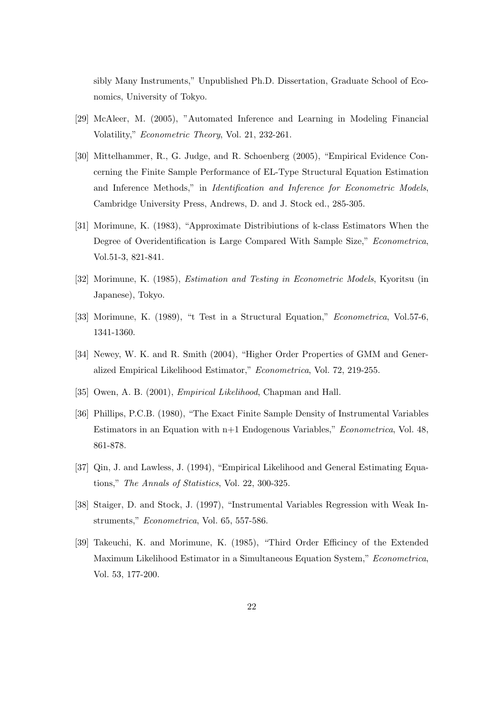sibly Many Instruments," Unpublished Ph.D. Dissertation, Graduate School of Economics, University of Tokyo.

- [29] McAleer, M. (2005), "Automated Inference and Learning in Modeling Financial Volatility," *Econometric Theory*, Vol. 21, 232-261.
- [30] Mittelhammer, R., G. Judge, and R. Schoenberg (2005), "Empirical Evidence Concerning the Finite Sample Performance of EL-Type Structural Equation Estimation and Inference Methods," in *Identification and Inference for Econometric Models*, Cambridge University Press, Andrews, D. and J. Stock ed., 285-305.
- [31] Morimune, K. (1983), "Approximate Distribiutions of k-class Estimators When the Degree of Overidentification is Large Compared With Sample Size," *Econometrica*, Vol.51-3, 821-841.
- [32] Morimune, K. (1985), *Estimation and Testing in Econometric Models*, Kyoritsu (in Japanese), Tokyo.
- [33] Morimune, K. (1989), "t Test in a Structural Equation," *Econometrica*, Vol.57-6, 1341-1360.
- [34] Newey, W. K. and R. Smith (2004), "Higher Order Properties of GMM and Generalized Empirical Likelihood Estimator," *Econometrica*, Vol. 72, 219-255.
- [35] Owen, A. B. (2001), *Empirical Likelihood*, Chapman and Hall.
- [36] Phillips, P.C.B. (1980), "The Exact Finite Sample Density of Instrumental Variables Estimators in an Equation with n+1 Endogenous Variables," *Econometrica*, Vol. 48, 861-878.
- [37] Qin, J. and Lawless, J. (1994), "Empirical Likelihood and General Estimating Equations," *The Annals of Statistics*, Vol. 22, 300-325.
- [38] Staiger, D. and Stock, J. (1997), "Instrumental Variables Regression with Weak Instruments," *Econometrica*, Vol. 65, 557-586.
- [39] Takeuchi, K. and Morimune, K. (1985), "Third Order Efficincy of the Extended Maximum Likelihood Estimator in a Simultaneous Equation System," *Econometrica*, Vol. 53, 177-200.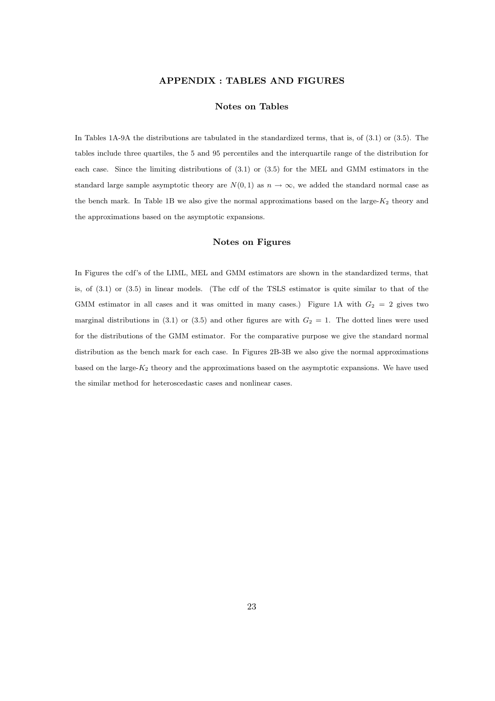## **APPENDIX : TABLES AND FIGURES**

#### **Notes on Tables**

In Tables 1A-9A the distributions are tabulated in the standardized terms, that is, of (3.1) or (3.5). The tables include three quartiles, the 5 and 95 percentiles and the interquartile range of the distribution for each case. Since the limiting distributions of (3.1) or (3.5) for the MEL and GMM estimators in the standard large sample asymptotic theory are  $N(0,1)$  as  $n \to \infty$ , we added the standard normal case as the bench mark. In Table 1B we also give the normal approximations based on the large-*K*<sup>2</sup> theory and the approximations based on the asymptotic expansions.

#### **Notes on Figures**

In Figures the cdf's of the LIML, MEL and GMM estimators are shown in the standardized terms, that is, of (3.1) or (3.5) in linear models. (The cdf of the TSLS estimator is quite similar to that of the GMM estimator in all cases and it was omitted in many cases.) Figure 1A with  $G_2 = 2$  gives two marginal distributions in  $(3.1)$  or  $(3.5)$  and other figures are with  $G_2 = 1$ . The dotted lines were used for the distributions of the GMM estimator. For the comparative purpose we give the standard normal distribution as the bench mark for each case. In Figures 2B-3B we also give the normal approximations based on the large-*K*<sup>2</sup> theory and the approximations based on the asymptotic expansions. We have used the similar method for heteroscedastic cases and nonlinear cases.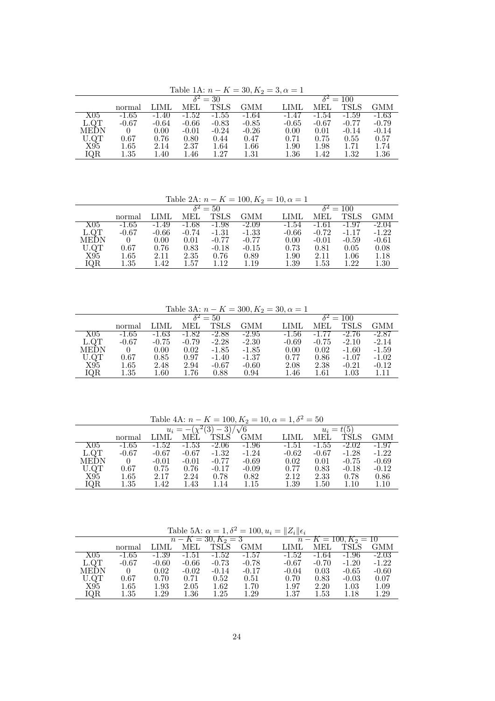Table 1A:  $n - K = 30, K_2 = 3, \alpha = 1$ 

|           |            |         | $-0.0220$ $-0.000$ |         | $\sim$ $\sim$ $\sim$ $\sim$ $\sim$ | $\sim$ . $\sim$           |          |             |          |  |
|-----------|------------|---------|--------------------|---------|------------------------------------|---------------------------|----------|-------------|----------|--|
|           |            |         |                    | $=$ 30  |                                    | $\overline{\delta^2=100}$ |          |             |          |  |
|           | normal     | LIML    | MEL                | TSLS    | GMM                                | LIML                      | MEL      | <b>TSLS</b> | GMM      |  |
| $\rm X05$ | $-1.65$    | $-1.40$ | $-1.52$            | $-1.55$ | $-1.64$                            | $-1.47$                   | $-1.54$  | $-1.59$     | $-1.63$  |  |
| L.QT      | $-0.67$    | $-0.64$ | $-0.66$            | $-0.83$ | $-0.85$                            | $-0.65$                   | $-0.67$  | $-0.77$     | $-0.79$  |  |
| MEDN      |            | 0.00    | $-0.01$            | $-0.24$ | $-0.26$                            | 0.00                      | 0.01     | $-0.14$     | $-0.14$  |  |
| U.QT      | $\rm 0.67$ | 0.76    | 0.80               | 0.44    | 0.47                               | 0.71                      | 0.75     | 0.55        | 0.57     |  |
| X95       | $1.65\,$   | 2.14    | 2.37               | 1.64    | $1.66\,$                           | 1.90                      | $1.98\,$ | 1.71        | 1.74     |  |
| IQR       | $1.35\,$   | 1.40    | 1.46               | 1.27    | $1.31\,$                           | $1.36\,$                  | 1.42     | 1.32        | $1.36\,$ |  |

| Table 2A: $n - K = 100, K_2 = 10, \alpha = 1$ |          |         |                            |             |                  |         |          |             |            |  |  |  |
|-----------------------------------------------|----------|---------|----------------------------|-------------|------------------|---------|----------|-------------|------------|--|--|--|
|                                               |          |         | $\overline{\delta^2} = 50$ |             | $\delta^2 = 100$ |         |          |             |            |  |  |  |
|                                               | normal   | LIML    | MEL                        | <b>TSLS</b> | <b>GMM</b>       | LIML    | MEL      | <b>TSLS</b> | <b>GMM</b> |  |  |  |
| X05                                           | $-1.65$  | $-1.49$ | $-1.68$                    | $-1.98$     | $-2.09$          | $-1.54$ | $-1.61$  | $-1.97$     | $-2.04$    |  |  |  |
| L.QT                                          | $-0.67$  | $-0.66$ | $-0.74$                    | $-1.31$     | $-1.33$          | $-0.66$ | $-0.72$  | $-1.17$     | $-1.22$    |  |  |  |
| MEDN                                          |          | 0.00    | 0.01                       | $-0.77$     | $-0.77$          | 0.00    | $-0.01$  | $-0.59$     | $-0.61$    |  |  |  |
| U.QT                                          | 0.67     | 0.76    | 0.83                       | $-0.18$     | $-0.15$          | 0.73    | 0.81     | 0.05        | 0.08       |  |  |  |
| X95                                           | $1.65\,$ | 2.11    | 2.35                       | 0.76        | 0.89             | 1.90    | 2.11     | 1.06        | 1.18       |  |  |  |
| IQR                                           | $1.35\,$ | 1.42    | 1.57                       | 1.12        | 1.19             | 1.39    | $1.53\,$ | 1.22        | 1.30       |  |  |  |

| Table 3A: $n - K = 300, K_2 = 30, \alpha = 1$ |          |         |                 |             |                             |         |         |             |         |  |  |  |
|-----------------------------------------------|----------|---------|-----------------|-------------|-----------------------------|---------|---------|-------------|---------|--|--|--|
|                                               |          |         | $\delta^2 = 50$ |             | $\overline{\delta^2} = 100$ |         |         |             |         |  |  |  |
|                                               | normal   | LIML    | MEL             | <b>TSLS</b> | <b>GMM</b>                  | LIMI    | MEL     | <b>TSLS</b> | GMM     |  |  |  |
| X05                                           | $-1.65$  | $-1.63$ | $-1.82$         | $-2.88$     | $-2.95$                     | $-1.56$ | $-1.77$ | $-2.76$     | -2.87   |  |  |  |
| L.QT                                          | $-0.67$  | $-0.75$ | $-0.79$         | $-2.28$     | $-2.30$                     | $-0.69$ | $-0.75$ | $-2.10$     | $-2.14$ |  |  |  |
| <b>MEDN</b>                                   | $\theta$ | 0.00    | 0.02            | $-1.85$     | $-1.85$                     | 0.00    | 0.02    | $-1.60$     | $-1.59$ |  |  |  |
| U.QT                                          | 0.67     | 0.85    | 0.97            | $-1.40$     | $-1.37$                     | 0.77    | 0.86    | $-1.07$     | $-1.02$ |  |  |  |
| X95                                           | $1.65\,$ | 2.48    | 2.94            | $-0.67$     | $-0.60$                     | 2.08    | 2.38    | $-0.21$     | $-0.12$ |  |  |  |
| IQR                                           | $1.35\,$ | 1.60    | 1.76            | 0.88        | 0.94                        | 1.46    | 1.61    | $1.03\,$    | 1.11    |  |  |  |

Table 4A:  $n - K = 100, K_2 = 10, \alpha = 1, \delta^2 = 50$ <br>*n* =  $\sqrt{2(3)}$  3)/ $\sqrt{6}$ 

|           |          |         | $u_i = -(\chi^2(3))$ |             |            | $u_i = t(5)$ |          |         |            |  |
|-----------|----------|---------|----------------------|-------------|------------|--------------|----------|---------|------------|--|
|           | normal   | LIML    | MEL                  | <b>TSLS</b> | <b>GMM</b> | LIML         | MEL      | TSLS    | <b>GMM</b> |  |
| $\rm X05$ | $-1.65$  | $-1.52$ | $-1.53$              | $-2.06$     | $-1.96$    | $-1.51$      | $-1.55$  | $-2.02$ | $-1.97$    |  |
| L.QT      | $-0.67$  | $-0.67$ | $-0.67$              | $-1.32$     | $-1.24$    | $-0.62$      | $-0.67$  | $-1.28$ | $-1.22$    |  |
| MEDN      |          | $-0.01$ | $-0.01$              | $-0.77$     | $-0.69$    | 0.02         | 0.01     | $-0.75$ | $-0.69$    |  |
| U.QT      | 0.67     | 0.75    | 0.76                 | $-0.17$     | $-0.09$    | 0.77         | 0.83     | $-0.18$ | $-0.12$    |  |
| X95       | $1.65\,$ | 2.17    | 2.24                 | 0.78        | 0.82       | 2.12         | 2.33     | 0.78    | 0.86       |  |
| IQR       | $1.35\,$ | 1.42    | 1.43                 | 1.14        | 1.15       | 1.39         | $1.50\,$ | 1.10    | 1.10       |  |

Table 5A:  $\alpha = 1, \delta^2 = 100, u_i = ||Z_i|| \epsilon_i$ 

|      |          |          |         |                       |         | $\mathbf{v}$    $\mathbf{v}$ |          |             |            |  |
|------|----------|----------|---------|-----------------------|---------|------------------------------|----------|-------------|------------|--|
|      |          |          |         | $n - K = 30, K_2 = 3$ |         | $n-K = 100, K_2 = 10$        |          |             |            |  |
|      | normal   | LIML     | MEL     | <b>TSLS</b>           | GMM     | LIML                         | MEL      | <b>TSLS</b> | <b>GMM</b> |  |
| X05  | $-1.65$  | $-1.39$  | $-1.51$ | $-1.52$               | $-1.57$ | $-1.52$                      | $-1.64$  | $-1.96$     | $-2.03$    |  |
| L.QT | $-0.67$  | $-0.60$  | $-0.66$ | $-0.73$               | $-0.78$ | $-0.67$                      | $-0.70$  | $-1.20$     | $-1.22$    |  |
| MEDN | $\theta$ | 0.02     | $-0.02$ | $-0.14$               | $-0.17$ | $-0.04$                      | 0.03     | $-0.65$     | $-0.60$    |  |
| U.QT | 0.67     | 0.70     | 0.71    | 0.52                  | 0.51    | 0.70                         | 0.83     | $-0.03$     | 0.07       |  |
| X95  | $1.65\,$ | $1.93\,$ | 2.05    | 1.62                  | 1.70    | 1.97                         | 2.20     | 1.03        | 1.09       |  |
| IQR  | $1.35\,$ | 1.29     | 1.36    | $1.25\,$              | 1.29    | 1.37                         | $1.53\,$ | 1.18        | 1.29       |  |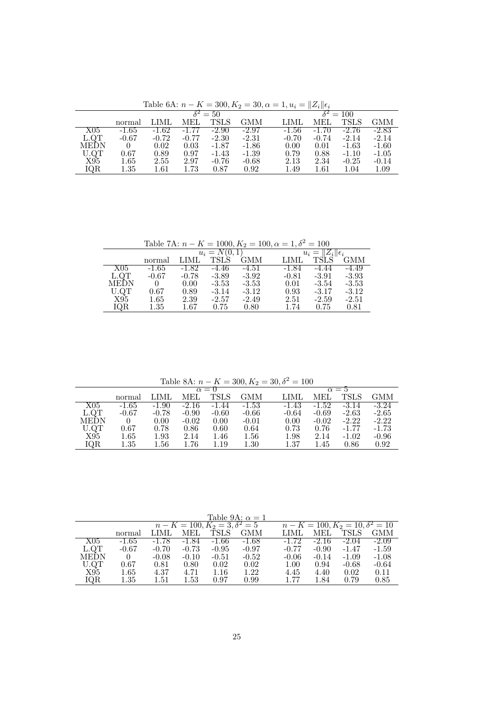Table 6A:  $n - K = 300, K_2 = 30, \alpha = 1, u_i = ||Z_i||\epsilon_i$ 

|      |          |         |         | $\overline{\delta^2} = 50$ |         | $\overline{\delta^2=100}$ |          |             |         |  |
|------|----------|---------|---------|----------------------------|---------|---------------------------|----------|-------------|---------|--|
|      | normal   | LIML    | MEL     | TSLS                       | GMM     | LIML                      | MEI.     | <b>TSLS</b> | GMM     |  |
| X05  | -1.65    | $-1.62$ | $-1.77$ | $-2.90$                    | $-2.97$ | $-1.56$                   | $-1.70$  | $-2.76$     | $-2.83$ |  |
| L.QT | $-0.67$  | $-0.72$ | $-0.77$ | $-2.30$                    | $-2.31$ | $-0.70$                   | $-0.74$  | $-2.14$     | $-2.14$ |  |
| MEDN |          | 0.02    | 0.03    | $-1.87$                    | $-1.86$ | 0.00                      | 0.01     | $-1.63$     | $-1.60$ |  |
| U.QT | 0.67     | 0.89    | 0.97    | $-1.43$                    | $-1.39$ | 0.79                      | 0.88     | $-1.10$     | $-1.05$ |  |
| X95  | $1.65\,$ | 2.55    | 2.97    | $-0.76$                    | $-0.68$ | 2.13                      | 2.34     | $-0.25$     | $-0.14$ |  |
| IQR  | $1.35\,$ | 1.61    | 1.73    | 0.87                       | 0.92    | 1.49                      | $1.61\,$ | $1.04\,$    | 1.09    |  |

Table 7A:  $n - K = 1000, K_2 = 100, \alpha = 1, \delta^2 = 100$ 

|             |          |         | $u_i = N(0, 1)$ |         |         |         |            |  |  |  |
|-------------|----------|---------|-----------------|---------|---------|---------|------------|--|--|--|
|             | normal   | LIML    | TSLS            | GMM     | LIML    |         | <b>GMM</b> |  |  |  |
| X05         | $-1.65$  | -1.82   | -4.46           | $-4.51$ | -1.84   | -4.44   | $-4.49$    |  |  |  |
| L.QT        | $-0.67$  | $-0.78$ | $-3.89$         | $-3.92$ | $-0.81$ | $-3.91$ | $-3.93$    |  |  |  |
| <b>MEDN</b> |          | 0.00    | $-3.53$         | $-3.53$ | 0.01    | $-3.54$ | $-3.53$    |  |  |  |
| U.QT        | 0.67     | 0.89    | $-3.14$         | $-3.12$ | 0.93    | $-3.17$ | $-3.12$    |  |  |  |
| X95         | $1.65\,$ | 2.39    | $-2.57$         | $-2.49$ | 2.51    | $-2.59$ | $-2.51$    |  |  |  |
| IQR         | $1.35\,$ | 1.67    | 0.75            | 0.80    | 1.74    | 0.75    | 0.81       |  |  |  |

Table 8A:  $n - K = 300, K_2 = 30, \delta^2 = 100$ 

|             |            |          |         | $\alpha = 0$ | $\alpha = h$ |         |         |         |         |
|-------------|------------|----------|---------|--------------|--------------|---------|---------|---------|---------|
|             | normal     | LIML     | MEL.    | <b>TSLS</b>  | <b>GMM</b>   | LIML    | MEL     | TSLS    | GMM     |
| X05         | $-1.65$    | $-1.90$  | $-2.16$ | $-1.44$      | $-1.53$      | $-1.43$ | $-1.52$ | $-3.14$ | $-3.24$ |
| L.QT        | $-0.67$    | $-0.78$  | $-0.90$ | $-0.60$      | $-0.66$      | $-0.64$ | $-0.69$ | $-2.63$ | $-2.65$ |
| <b>MEDN</b> |            | 0.00     | $-0.02$ | 0.00         | $-0.01$      | 0.00    | $-0.02$ | $-2.22$ | $-2.22$ |
| U.QT        | $\rm 0.67$ | 0.78     | 0.86    | 0.60         | 0.64         | 0.73    | 0.76    | $-1.77$ | $-1.73$ |
| X95         | $1.65\,$   | $1.93\,$ | 2.14    | 1.46         | $1.56\,$     | 1.98    | 2.14    | $-1.02$ | $-0.96$ |
| IQR         | $1.35\,$   | $1.56\,$ | 1.76    | $1.19\,$     | $1.30\,$     | 1.37    | 1.45    | 0.86    | 0.92    |

Table 9A:  $\alpha = 1$ <br>  $n - K = 100, K_2 = 3, \delta^2 = 5$ <br>
LIML MEL TSLS GMM  $n - K = 100, K_2 = 3, \delta^2 = 5$   $n - K = 100, K_2 = 10, \delta^2 = 10$ <br>normal LIML MEL TSLS GMM LIML MEL TSLS GMM X05 -1.65 -1.78 -1.84 -1.66 -1.68 -1.72 -2.16 -2.04 -2.09 L.QT -0.67 -0.70 -0.73 -0.95 -0.97 -0.77 -0.90 -1.47 -1.59 MEDN 0 -0.08 -0.10 -0.51 -0.52 -0.06 -0.14 -1.09 -1.08 U.QT 0.67 0.81 0.80 0.02 0.02 1.00 0.94 -0.68 -0.64 X95 1.65 4.37 4.71 1.16 1.22 4.45 4.40 0.02 0.11 IQR 1.35 1.51 1.53 0.97 0.99 1.77 1.84 0.79 0.85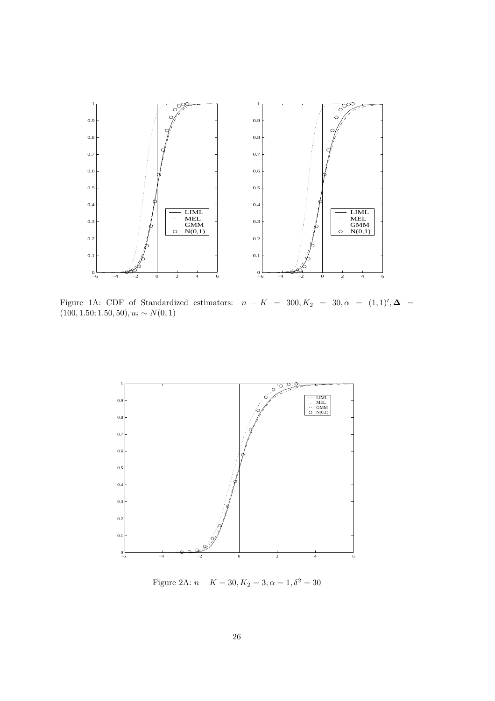

Figure 1A: CDF of Standardized estimators:  $n - K = 300, K_2 = 30, \alpha = (1, 1)^\prime, \Delta =$  $(100, 1.50; 1.50, 50), u_i \sim N(0, 1)$ 



Figure 2A:  $n - K = 30, K_2 = 3, \alpha = 1, \delta^2 = 30$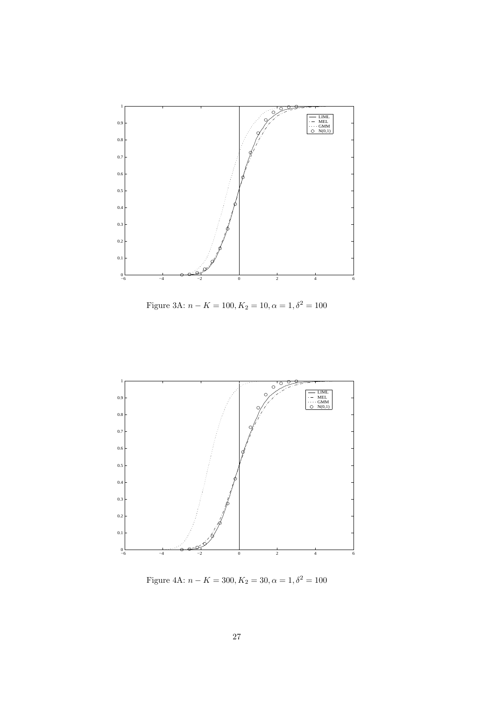

Figure 3A:  $n - K = 100, K_2 = 10, \alpha = 1, \delta^2 = 100$ 



Figure 4A:  $n - K = 300, K_2 = 30, \alpha = 1, \delta^2 = 100$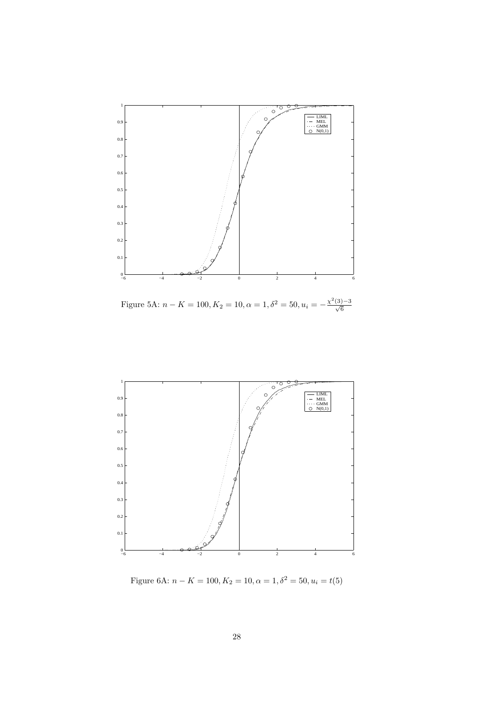

Figure 5A:  $n - K = 100, K_2 = 10, \alpha = 1, \delta^2 = 50, u_i = -\frac{\chi^2(3)-3}{\sqrt{6}}$ 



Figure 6A:  $n - K = 100, K_2 = 10, \alpha = 1, \delta^2 = 50, u_i = t(5)$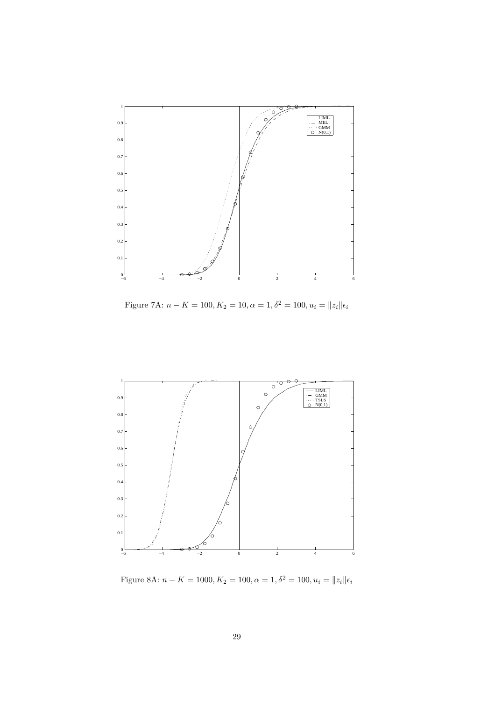

Figure 7A:  $n - K = 100, K_2 = 10, \alpha = 1, \delta^2 = 100, u_i = ||z_i|| \epsilon_i$ 



Figure 8A:  $n - K = 1000, K_2 = 100, \alpha = 1, \delta^2 = 100, u_i = ||z_i||\epsilon_i$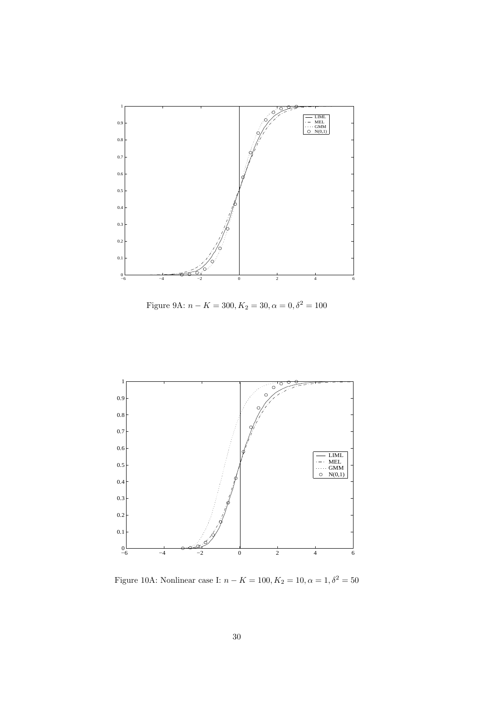

Figure 9A:  $n - K = 300, K_2 = 30, \alpha = 0, \delta^2 = 100$ 



Figure 10A: Nonlinear case I:  $n-K=100, K_2=10, \alpha=1, \delta^2=50$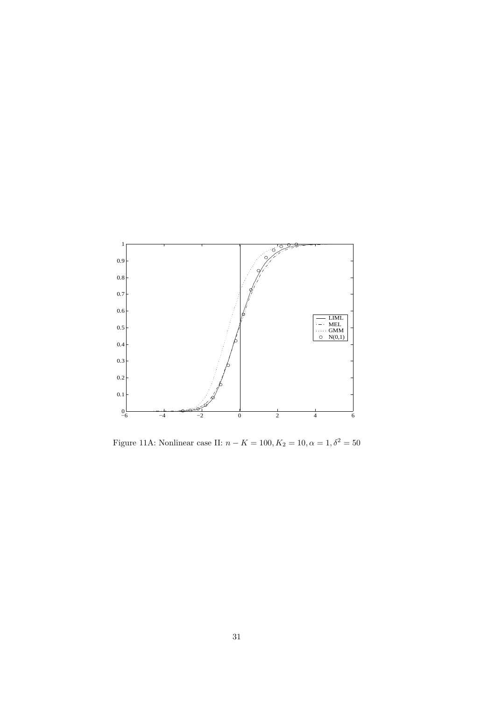

Figure 11A: Nonlinear case II:  $n - K = 100, K_2 = 10, \alpha = 1, \delta^2 = 50$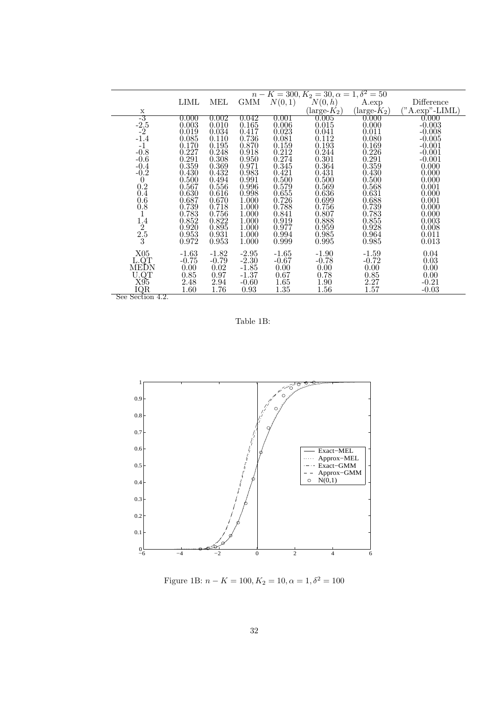|                  |         |         |         |         | $n - K = 300, K_2 = 30, \alpha = 1, \delta^2 = 50$ |                      |                 |
|------------------|---------|---------|---------|---------|----------------------------------------------------|----------------------|-----------------|
|                  | LIML    | MEL     | GMM     | N(0,1)  | $N(0, \tilde{h})$                                  | A.exp                | Difference      |
| X                |         |         |         |         | $(\text{large-}K_2)$                               | $(\text{large-}K_2)$ | ("A. exp".LIML) |
| $-3$             | 0.000   | 0.002   | 0.042   | 0.001   | 0.005                                              | 0.000                | 0.000           |
| $-2.5$           | 0.003   | 0.010   | 0.165   | 0.006   | 0.015                                              | 0.000                | $-0.003$        |
| $-2$             | 0.019   | 0.034   | 0.417   | 0.023   | 0.041                                              | 0.011                | $-0.008$        |
| $-1.4$           | 0.085   | 0.110   | 0.736   | 0.081   | 0.112                                              | 0.080                | $-0.005$        |
| $^{\rm -1}$      | 0.170   | 0.195   | 0.870   | 0.159   | 0.193                                              | 0.169                | $-0.001$        |
| $-0.8$           | 0.227   | 0.248   | 0.918   | 0.212   | 0.244                                              | 0.226                | $-0.001$        |
| $-0.6$           | 0.291   | 0.308   | 0.950   | 0.274   | 0.301                                              | 0.291                | $-0.001$        |
| $-0.4$           | 0.359   | 0.369   | 0.971   | 0.345   | 0.364                                              | 0.359                | 0.000           |
| $-0.2$           | 0.430   | 0.432   | 0.983   | 0.421   | 0.431                                              | 0.430                | 0.000           |
| $\theta$         | 0.500   | 0.494   | 0.991   | 0.500   | 0.500                                              | 0.500                | 0.000           |
| 0.2              | 0.567   | 0.556   | 0.996   | 0.579   | 0.569                                              | 0.568                | 0.001           |
| 0.4              | 0.630   | 0.616   | 0.998   | 0.655   | 0.636                                              | 0.631                | 0.000           |
| 0.6              | 0.687   | 0.670   | 1.000   | 0.726   | 0.699                                              | 0.688                | 0.001           |
| $0.\overline{8}$ | 0.739   | 0.718   | 1.000   | 0.788   | 0.756                                              | 0.739                | 0.000           |
| 1                | 0.783   | 0.756   | 1.000   | 0.841   | 0.807                                              | 0.783                | 0.000           |
| 1.4              | 0.852   | 0.822   | 1.000   | 0.919   | 0.888                                              | 0.855                | 0.003           |
| $\overline{2}$   | 0.920   | 0.895   | 1.000   | 0.977   | 0.959                                              | 0.928                | 0.008           |
| $\frac{2.5}{3}$  | 0.953   | 0.931   | 1.000   | 0.994   | 0.985                                              | 0.964                | 0.011           |
|                  | 0.972   | 0.953   | 1.000   | 0.999   | 0.995                                              | 0.985                | 0.013           |
| X05              | $-1.63$ | $-1.82$ | $-2.95$ | $-1.65$ | $-1.90$                                            | $-1.59$              | 0.04            |
| L.OT             | $-0.75$ | $-0.79$ | $-2.30$ | $-0.67$ | $-0.78$                                            | $-0.72$              | 0.03            |
| MEDN             | 0.00    | 0.02    | $-1.85$ | 0.00    | 0.00                                               | 0.00                 | 0.00            |
| U.QT             | 0.85    | 0.97    | $-1.37$ | 0.67    | 0.78                                               | 0.85                 | 0.00            |
| X95              | 2.48    | 2.94    | $-0.60$ | 1.65    | 1.90                                               | 2.27                 | $-0.21$         |
| IQR              | 1.60    | 1.76    | 0.93    | 1.35    | 1.56                                               | 1.57                 | $-0.03$         |
| See Section 4.2. |         |         |         |         |                                                    |                      |                 |

Table 1B:



Figure 1B:  $n - K = 100, K_2 = 10, \alpha = 1, \delta^2 = 100$